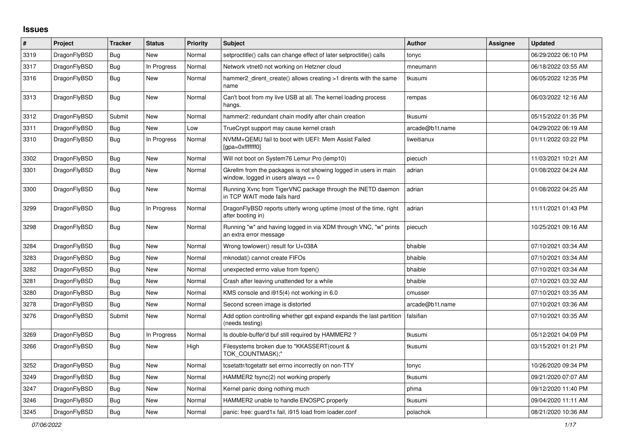## **Issues**

| $\#$ | Project      | <b>Tracker</b> | <b>Status</b> | <b>Priority</b> | <b>Subject</b>                                                                                            | <b>Author</b>   | Assignee | <b>Updated</b>      |
|------|--------------|----------------|---------------|-----------------|-----------------------------------------------------------------------------------------------------------|-----------------|----------|---------------------|
| 3319 | DragonFlyBSD | Bug            | <b>New</b>    | Normal          | setproctitle() calls can change effect of later setproctitle() calls                                      | tonyc           |          | 06/29/2022 06:10 PM |
| 3317 | DragonFlyBSD | <b>Bug</b>     | In Progress   | Normal          | Network vtnet0 not working on Hetzner cloud                                                               | mneumann        |          | 06/18/2022 03:55 AM |
| 3316 | DragonFlyBSD | <b>Bug</b>     | New           | Normal          | hammer2_dirent_create() allows creating >1 dirents with the same<br>name                                  | tkusumi         |          | 06/05/2022 12:35 PM |
| 3313 | DragonFlyBSD | Bug            | New           | Normal          | Can't boot from my live USB at all. The kernel loading process<br>hangs.                                  | rempas          |          | 06/03/2022 12:16 AM |
| 3312 | DragonFlyBSD | Submit         | <b>New</b>    | Normal          | hammer2: redundant chain modify after chain creation                                                      | tkusumi         |          | 05/15/2022 01:35 PM |
| 3311 | DragonFlyBSD | Bug            | <b>New</b>    | Low             | TrueCrypt support may cause kernel crash                                                                  | arcade@b1t.name |          | 04/29/2022 06:19 AM |
| 3310 | DragonFlyBSD | <b>Bug</b>     | In Progress   | Normal          | NVMM+QEMU fail to boot with UEFI: Mem Assist Failed<br>[qpa=0xfffffff0]                                   | liweitianux     |          | 01/11/2022 03:22 PM |
| 3302 | DragonFlyBSD | <b>Bug</b>     | <b>New</b>    | Normal          | Will not boot on System76 Lemur Pro (lemp10)                                                              | piecuch         |          | 11/03/2021 10:21 AM |
| 3301 | DragonFlyBSD | <b>Bug</b>     | <b>New</b>    | Normal          | Gkrellm from the packages is not showing logged in users in main<br>window, logged in users always $== 0$ | adrian          |          | 01/08/2022 04:24 AM |
| 3300 | DragonFlyBSD | Bug            | <b>New</b>    | Normal          | Running Xvnc from TigerVNC package through the INETD daemon<br>in TCP WAIT mode fails hard                | adrian          |          | 01/08/2022 04:25 AM |
| 3299 | DragonFlyBSD | Bug            | In Progress   | Normal          | DragonFlyBSD reports utterly wrong uptime (most of the time, right<br>after booting in)                   | adrian          |          | 11/11/2021 01:43 PM |
| 3298 | DragonFlyBSD | <b>Bug</b>     | New           | Normal          | Running "w" and having logged in via XDM through VNC, "w" prints<br>an extra error message                | piecuch         |          | 10/25/2021 09:16 AM |
| 3284 | DragonFlyBSD | <b>Bug</b>     | New           | Normal          | Wrong towlower() result for U+038A                                                                        | bhaible         |          | 07/10/2021 03:34 AM |
| 3283 | DragonFlyBSD | <b>Bug</b>     | New           | Normal          | mknodat() cannot create FIFOs                                                                             | bhaible         |          | 07/10/2021 03:34 AM |
| 3282 | DragonFlyBSD | <b>Bug</b>     | <b>New</b>    | Normal          | unexpected errno value from fopen()                                                                       | bhaible         |          | 07/10/2021 03:34 AM |
| 3281 | DragonFlyBSD | Bug            | <b>New</b>    | Normal          | Crash after leaving unattended for a while                                                                | bhaible         |          | 07/10/2021 03:32 AM |
| 3280 | DragonFlyBSD | Bug            | <b>New</b>    | Normal          | KMS console and i915(4) not working in 6.0                                                                | cmusser         |          | 07/10/2021 03:35 AM |
| 3278 | DragonFlyBSD | Bug            | <b>New</b>    | Normal          | Second screen image is distorted                                                                          | arcade@b1t.name |          | 07/10/2021 03:36 AM |
| 3276 | DragonFlyBSD | Submit         | New           | Normal          | Add option controlling whether gpt expand expands the last partition<br>(needs testing)                   | falsifian       |          | 07/10/2021 03:35 AM |
| 3269 | DragonFlyBSD | Bug            | In Progress   | Normal          | Is double-buffer'd buf still required by HAMMER2?                                                         | tkusumi         |          | 05/12/2021 04:09 PM |
| 3266 | DragonFlyBSD | <b>Bug</b>     | <b>New</b>    | High            | Filesystems broken due to "KKASSERT(count &<br>TOK COUNTMASK);"                                           | tkusumi         |          | 03/15/2021 01:21 PM |
| 3252 | DragonFlyBSD | <b>Bug</b>     | <b>New</b>    | Normal          | tcsetattr/tcgetattr set errno incorrectly on non-TTY                                                      | tonyc           |          | 10/26/2020 09:34 PM |
| 3249 | DragonFlyBSD | <b>Bug</b>     | <b>New</b>    | Normal          | HAMMER2 fsync(2) not working properly                                                                     | tkusumi         |          | 09/21/2020 07:07 AM |
| 3247 | DragonFlyBSD | <b>Bug</b>     | New           | Normal          | Kernel panic doing nothing much                                                                           | phma            |          | 09/12/2020 11:40 PM |
| 3246 | DragonFlyBSD | Bug            | New           | Normal          | HAMMER2 unable to handle ENOSPC properly                                                                  | tkusumi         |          | 09/04/2020 11:11 AM |
| 3245 | DragonFlyBSD | <b>Bug</b>     | New           | Normal          | panic: free: guard1x fail, i915 load from loader.conf                                                     | polachok        |          | 08/21/2020 10:36 AM |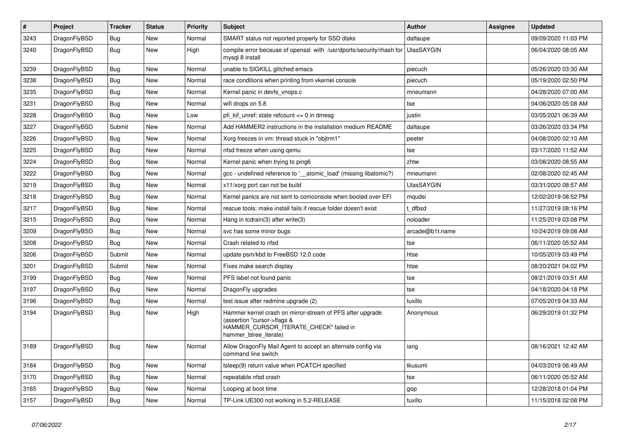| $\vert$ # | <b>Project</b> | <b>Tracker</b> | <b>Status</b> | <b>Priority</b> | <b>Subject</b>                                                                                                                                              | Author            | Assignee | <b>Updated</b>      |
|-----------|----------------|----------------|---------------|-----------------|-------------------------------------------------------------------------------------------------------------------------------------------------------------|-------------------|----------|---------------------|
| 3243      | DragonFlyBSD   | Bug            | <b>New</b>    | Normal          | SMART status not reported properly for SSD disks                                                                                                            | daftaupe          |          | 09/09/2020 11:03 PM |
| 3240      | DragonFlyBSD   | Bug            | New           | High            | compile error because of openssl with /usr/dports/security/rhash for<br>mysgl 8 install                                                                     | <b>UlasSAYGIN</b> |          | 06/04/2020 08:05 AM |
| 3239      | DragonFlyBSD   | <b>Bug</b>     | New           | Normal          | unable to SIGKILL glitched emacs                                                                                                                            | piecuch           |          | 05/26/2020 03:30 AM |
| 3238      | DragonFlyBSD   | Bug            | New           | Normal          | race conditions when printing from vkernel console                                                                                                          | piecuch           |          | 05/19/2020 02:50 PM |
| 3235      | DragonFlyBSD   | <b>Bug</b>     | New           | Normal          | Kernel panic in devfs vnops.c                                                                                                                               | mneumann          |          | 04/28/2020 07:00 AM |
| 3231      | DragonFlyBSD   | <b>Bug</b>     | New           | Normal          | wifi drops on 5.8                                                                                                                                           | tse               |          | 04/06/2020 05:08 AM |
| 3228      | DragonFlyBSD   | <b>Bug</b>     | New           | Low             | pfi kif unref: state refcount $\leq$ 0 in dmesg                                                                                                             | justin            |          | 03/05/2021 06:39 AM |
| 3227      | DragonFlyBSD   | Submit         | New           | Normal          | Add HAMMER2 instructions in the installation medium README                                                                                                  | daftaupe          |          | 03/26/2020 03:34 PM |
| 3226      | DragonFlyBSD   | <b>Bug</b>     | New           | Normal          | Xorg freezes in vm: thread stuck in "objtrm1"                                                                                                               | peeter            |          | 04/08/2020 02:10 AM |
| 3225      | DragonFlyBSD   | <b>Bug</b>     | New           | Normal          | nfsd freeze when using gemu                                                                                                                                 | tse               |          | 03/17/2020 11:52 AM |
| 3224      | DragonFlyBSD   | <b>Bug</b>     | New           | Normal          | Kernel panic when trying to ping6                                                                                                                           | zhtw              |          | 03/08/2020 08:55 AM |
| 3222      | DragonFlyBSD   | Bug            | New           | Normal          | gcc - undefined reference to '___ atomic_load' (missing libatomic?)                                                                                         | mneumann          |          | 02/08/2020 02:45 AM |
| 3219      | DragonFlyBSD   | <b>Bug</b>     | <b>New</b>    | Normal          | x11/xorg port can not be build                                                                                                                              | <b>UlasSAYGIN</b> |          | 03/31/2020 08:57 AM |
| 3218      | DragonFlyBSD   | <b>Bug</b>     | New           | Normal          | Kernel panics are not sent to comconsole when booted over EFI                                                                                               | mqudsi            |          | 12/02/2019 08:52 PM |
| 3217      | DragonFlyBSD   | <b>Bug</b>     | New           | Normal          | rescue tools: make install fails if rescue folder doesn't exist                                                                                             | t dfbsd           |          | 11/27/2019 08:16 PM |
| 3215      | DragonFlyBSD   | Bug            | <b>New</b>    | Normal          | Hang in tcdrain(3) after write(3)                                                                                                                           | noloader          |          | 11/25/2019 03:08 PM |
| 3209      | DragonFlyBSD   | Bug            | New           | Normal          | svc has some minor bugs                                                                                                                                     | arcade@b1t.name   |          | 10/24/2019 09:08 AM |
| 3208      | DragonFlyBSD   | <b>Bug</b>     | New           | Normal          | Crash related to nfsd                                                                                                                                       | tse               |          | 06/11/2020 05:52 AM |
| 3206      | DragonFlyBSD   | Submit         | New           | Normal          | update psm/kbd to FreeBSD 12.0 code                                                                                                                         | htse              |          | 10/05/2019 03:49 PM |
| 3201      | DragonFlyBSD   | Submit         | New           | Normal          | Fixes make search display                                                                                                                                   | htse              |          | 08/20/2021 04:02 PM |
| 3199      | DragonFlyBSD   | Bug            | New           | Normal          | PFS label not found panic                                                                                                                                   | tse               |          | 08/21/2019 03:51 AM |
| 3197      | DragonFlyBSD   | Bug            | New           | Normal          | DragonFly upgrades                                                                                                                                          | tse               |          | 04/18/2020 04:18 PM |
| 3196      | DragonFlyBSD   | <b>Bug</b>     | <b>New</b>    | Normal          | test issue after redmine upgrade (2)                                                                                                                        | tuxillo           |          | 07/05/2019 04:33 AM |
| 3194      | DragonFlyBSD   | Bug            | New           | High            | Hammer kernel crash on mirror-stream of PFS after upgrade<br>(assertion "cursor->flags &<br>HAMMER_CURSOR_ITERATE_CHECK" failed in<br>hammer btree iterate) | Anonymous         |          | 06/29/2019 01:32 PM |
| 3189      | DragonFlyBSD   | Bug            | <b>New</b>    | Normal          | Allow DragonFly Mail Agent to accept an alternate config via<br>command line switch                                                                         | iang              |          | 08/16/2021 12:42 AM |
| 3184      | DragonFlyBSD   | <b>Bug</b>     | New           | Normal          | tsleep(9) return value when PCATCH specified                                                                                                                | tkusumi           |          | 04/03/2019 06:49 AM |
| 3170      | DragonFlyBSD   | Bug            | New           | Normal          | repeatable nfsd crash                                                                                                                                       | tse               |          | 06/11/2020 05:52 AM |
| 3165      | DragonFlyBSD   | Bug            | New           | Normal          | Looping at boot time                                                                                                                                        | gop               |          | 12/28/2018 01:04 PM |
| 3157      | DragonFlyBSD   | Bug            | <b>New</b>    | Normal          | TP-Link UE300 not working in 5.2-RELEASE                                                                                                                    | tuxillo           |          | 11/15/2018 02:08 PM |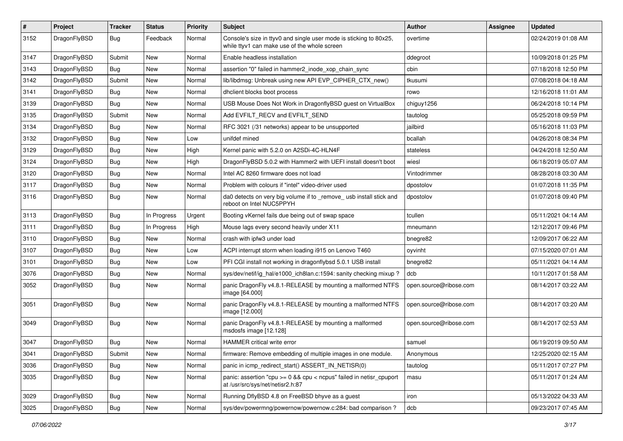| #    | Project      | <b>Tracker</b> | <b>Status</b> | <b>Priority</b> | Subject                                                                                                            | Author                 | Assignee | <b>Updated</b>      |
|------|--------------|----------------|---------------|-----------------|--------------------------------------------------------------------------------------------------------------------|------------------------|----------|---------------------|
| 3152 | DragonFlyBSD | <b>Bug</b>     | Feedback      | Normal          | Console's size in ttyv0 and single user mode is sticking to 80x25,<br>while ttyv1 can make use of the whole screen | overtime               |          | 02/24/2019 01:08 AM |
| 3147 | DragonFlyBSD | Submit         | New           | Normal          | Enable headless installation                                                                                       | ddegroot               |          | 10/09/2018 01:25 PM |
| 3143 | DragonFlyBSD | Bug            | New           | Normal          | assertion "0" failed in hammer2 inode xop chain sync                                                               | cbin                   |          | 07/18/2018 12:50 PM |
| 3142 | DragonFlyBSD | Submit         | <b>New</b>    | Normal          | lib/libdmsg: Unbreak using new API EVP_CIPHER_CTX_new()                                                            | tkusumi                |          | 07/08/2018 04:18 AM |
| 3141 | DragonFlyBSD | <b>Bug</b>     | New           | Normal          | dhclient blocks boot process                                                                                       | rowo                   |          | 12/16/2018 11:01 AM |
| 3139 | DragonFlyBSD | Bug            | <b>New</b>    | Normal          | USB Mouse Does Not Work in DragonflyBSD guest on VirtualBox                                                        | chiguy1256             |          | 06/24/2018 10:14 PM |
| 3135 | DragonFlyBSD | Submit         | New           | Normal          | Add EVFILT_RECV and EVFILT_SEND                                                                                    | tautolog               |          | 05/25/2018 09:59 PM |
| 3134 | DragonFlyBSD | Bug            | New           | Normal          | RFC 3021 (/31 networks) appear to be unsupported                                                                   | jailbird               |          | 05/16/2018 11:03 PM |
| 3132 | DragonFlyBSD | Bug            | <b>New</b>    | Low             | unifdef mined                                                                                                      | bcallah                |          | 04/26/2018 08:34 PM |
| 3129 | DragonFlyBSD | <b>Bug</b>     | New           | High            | Kernel panic with 5.2.0 on A2SDi-4C-HLN4F                                                                          | stateless              |          | 04/24/2018 12:50 AM |
| 3124 | DragonFlyBSD | Bug            | <b>New</b>    | High            | DragonFlyBSD 5.0.2 with Hammer2 with UEFI install doesn't boot                                                     | wiesl                  |          | 06/18/2019 05:07 AM |
| 3120 | DragonFlyBSD | <b>Bug</b>     | New           | Normal          | Intel AC 8260 firmware does not load                                                                               | Vintodrimmer           |          | 08/28/2018 03:30 AM |
| 3117 | DragonFlyBSD | Bug            | New           | Normal          | Problem with colours if "intel" video-driver used                                                                  | dpostolov              |          | 01/07/2018 11:35 PM |
| 3116 | DragonFlyBSD | Bug            | New           | Normal          | da0 detects on very big volume if to _remove_ usb install stick and<br>reboot on Intel NUC5PPYH                    | dpostolov              |          | 01/07/2018 09:40 PM |
| 3113 | DragonFlyBSD | Bug            | In Progress   | Urgent          | Booting vKernel fails due being out of swap space                                                                  | tcullen                |          | 05/11/2021 04:14 AM |
| 3111 | DragonFlyBSD | <b>Bug</b>     | In Progress   | High            | Mouse lags every second heavily under X11                                                                          | mneumann               |          | 12/12/2017 09:46 PM |
| 3110 | DragonFlyBSD | <b>Bug</b>     | New           | Normal          | crash with ipfw3 under load                                                                                        | bnegre82               |          | 12/09/2017 06:22 AM |
| 3107 | DragonFlyBSD | Bug            | <b>New</b>    | Low             | ACPI interrupt storm when loading i915 on Lenovo T460                                                              | oyvinht                |          | 07/15/2020 07:01 AM |
| 3101 | DragonFlyBSD | <b>Bug</b>     | New           | Low             | PFI CGI install not working in dragonflybsd 5.0.1 USB install                                                      | bnegre82               |          | 05/11/2021 04:14 AM |
| 3076 | DragonFlyBSD | Bug            | New           | Normal          | sys/dev/netif/ig_hal/e1000_ich8lan.c:1594: sanity checking mixup?                                                  | dcb                    |          | 10/11/2017 01:58 AM |
| 3052 | DragonFlyBSD | Bug            | New           | Normal          | panic DragonFly v4.8.1-RELEASE by mounting a malformed NTFS<br>image [64.000]                                      | open.source@ribose.com |          | 08/14/2017 03:22 AM |
| 3051 | DragonFlyBSD | Bug            | New           | Normal          | panic DragonFly v4.8.1-RELEASE by mounting a malformed NTFS<br>image [12.000]                                      | open.source@ribose.com |          | 08/14/2017 03:20 AM |
| 3049 | DragonFlyBSD | Bug            | <b>New</b>    | Normal          | panic DragonFly v4.8.1-RELEASE by mounting a malformed<br>msdosfs image [12.128]                                   | open.source@ribose.com |          | 08/14/2017 02:53 AM |
| 3047 | DragonFlyBSD | <b>Bug</b>     | New           | Normal          | HAMMER critical write error                                                                                        | samuel                 |          | 06/19/2019 09:50 AM |
| 3041 | DragonFlyBSD | Submit         | New           | Normal          | firmware: Remove embedding of multiple images in one module.                                                       | Anonymous              |          | 12/25/2020 02:15 AM |
| 3036 | DragonFlyBSD | <b>Bug</b>     | New           | Normal          | panic in icmp_redirect_start() ASSERT_IN_NETISR(0)                                                                 | tautolog               |          | 05/11/2017 07:27 PM |
| 3035 | DragonFlyBSD | Bug            | New           | Normal          | panic: assertion "cpu >= 0 && cpu < ncpus" failed in netisr_cpuport<br>at /usr/src/sys/net/netisr2.h:87            | masu                   |          | 05/11/2017 01:24 AM |
| 3029 | DragonFlyBSD | <b>Bug</b>     | New           | Normal          | Running DflyBSD 4.8 on FreeBSD bhyve as a guest                                                                    | iron                   |          | 05/13/2022 04:33 AM |
| 3025 | DragonFlyBSD | Bug            | New           | Normal          | sys/dev/powermng/powernow/powernow.c:284: bad comparison?                                                          | dcb                    |          | 09/23/2017 07:45 AM |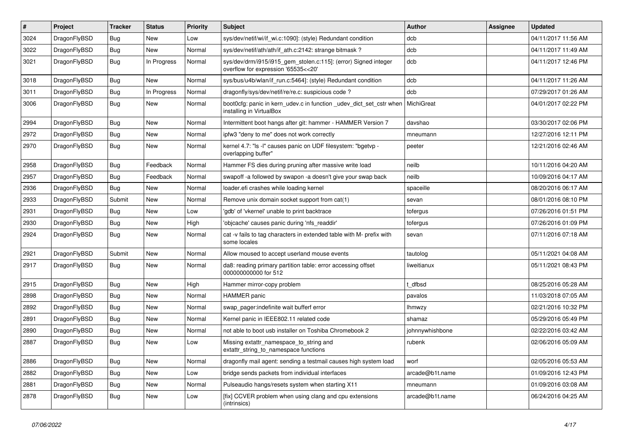| $\sharp$ | Project      | <b>Tracker</b> | <b>Status</b> | <b>Priority</b> | Subject                                                                                                | Author          | Assignee | <b>Updated</b>      |
|----------|--------------|----------------|---------------|-----------------|--------------------------------------------------------------------------------------------------------|-----------------|----------|---------------------|
| 3024     | DragonFlyBSD | Bug            | <b>New</b>    | Low             | sys/dev/netif/wi/if_wi.c:1090]: (style) Redundant condition                                            | dcb             |          | 04/11/2017 11:56 AM |
| 3022     | DragonFlyBSD | Bug            | New           | Normal          | sys/dev/netif/ath/ath/if_ath.c:2142: strange bitmask?                                                  | dcb             |          | 04/11/2017 11:49 AM |
| 3021     | DragonFlyBSD | <b>Bug</b>     | In Progress   | Normal          | sys/dev/drm/i915/i915_gem_stolen.c:115]: (error) Signed integer<br>overflow for expression '65535<<20' | dcb             |          | 04/11/2017 12:46 PM |
| 3018     | DragonFlyBSD | Bug            | <b>New</b>    | Normal          | sys/bus/u4b/wlan/if_run.c:5464]: (style) Redundant condition                                           | dcb             |          | 04/11/2017 11:26 AM |
| 3011     | DragonFlyBSD | <b>Bug</b>     | In Progress   | Normal          | dragonfly/sys/dev/netif/re/re.c: suspicious code ?                                                     | dcb             |          | 07/29/2017 01:26 AM |
| 3006     | DragonFlyBSD | <b>Bug</b>     | <b>New</b>    | Normal          | boot0cfg: panic in kern_udev.c in function _udev_dict_set_cstr when<br>installing in VirtualBox        | MichiGreat      |          | 04/01/2017 02:22 PM |
| 2994     | DragonFlyBSD | Bug            | <b>New</b>    | Normal          | Intermittent boot hangs after git: hammer - HAMMER Version 7                                           | davshao         |          | 03/30/2017 02:06 PM |
| 2972     | DragonFlyBSD | Bug            | <b>New</b>    | Normal          | ipfw3 "deny to me" does not work correctly                                                             | mneumann        |          | 12/27/2016 12:11 PM |
| 2970     | DragonFlyBSD | Bug            | <b>New</b>    | Normal          | kernel 4.7: "Is -I" causes panic on UDF filesystem: "bgetvp -<br>overlapping buffer"                   | peeter          |          | 12/21/2016 02:46 AM |
| 2958     | DragonFlyBSD | Bug            | Feedback      | Normal          | Hammer FS dies during pruning after massive write load                                                 | neilb           |          | 10/11/2016 04:20 AM |
| 2957     | DragonFlyBSD | <b>Bug</b>     | Feedback      | Normal          | swapoff -a followed by swapon -a doesn't give your swap back                                           | neilb           |          | 10/09/2016 04:17 AM |
| 2936     | DragonFlyBSD | Bug            | <b>New</b>    | Normal          | loader.efi crashes while loading kernel                                                                | spaceille       |          | 08/20/2016 06:17 AM |
| 2933     | DragonFlyBSD | Submit         | New           | Normal          | Remove unix domain socket support from cat(1)                                                          | sevan           |          | 08/01/2016 08:10 PM |
| 2931     | DragonFlyBSD | <b>Bug</b>     | <b>New</b>    | Low             | 'gdb' of 'vkernel' unable to print backtrace                                                           | tofergus        |          | 07/26/2016 01:51 PM |
| 2930     | DragonFlyBSD | Bug            | <b>New</b>    | High            | 'objcache' causes panic during 'nfs_readdir'                                                           | tofergus        |          | 07/26/2016 01:09 PM |
| 2924     | DragonFlyBSD | <b>Bug</b>     | <b>New</b>    | Normal          | cat -v fails to tag characters in extended table with M- prefix with<br>some locales                   | sevan           |          | 07/11/2016 07:18 AM |
| 2921     | DragonFlyBSD | Submit         | <b>New</b>    | Normal          | Allow moused to accept userland mouse events                                                           | tautolog        |          | 05/11/2021 04:08 AM |
| 2917     | DragonFlyBSD | Bug            | New           | Normal          | da8: reading primary partition table: error accessing offset<br>000000000000 for 512                   | liweitianux     |          | 05/11/2021 08:43 PM |
| 2915     | DragonFlyBSD | Bug            | <b>New</b>    | High            | Hammer mirror-copy problem                                                                             | t dfbsd         |          | 08/25/2016 05:28 AM |
| 2898     | DragonFlyBSD | <b>Bug</b>     | <b>New</b>    | Normal          | <b>HAMMER</b> panic                                                                                    | pavalos         |          | 11/03/2018 07:05 AM |
| 2892     | DragonFlyBSD | Bug            | <b>New</b>    | Normal          | swap pager:indefinite wait bufferf error                                                               | <b>Ihmwzy</b>   |          | 02/21/2016 10:32 PM |
| 2891     | DragonFlyBSD | <b>Bug</b>     | <b>New</b>    | Normal          | Kernel panic in IEEE802.11 related code                                                                | shamaz          |          | 05/29/2016 05:49 PM |
| 2890     | DragonFlyBSD | <b>Bug</b>     | New           | Normal          | not able to boot usb installer on Toshiba Chromebook 2                                                 | johnnywhishbone |          | 02/22/2016 03:42 AM |
| 2887     | DragonFlyBSD | Bug            | <b>New</b>    | Low             | Missing extattr_namespace_to_string and<br>extattr_string_to_namespace functions                       | rubenk          |          | 02/06/2016 05:09 AM |
| 2886     | DragonFlyBSD | Bug            | New           | Normal          | dragonfly mail agent: sending a testmail causes high system load                                       | worf            |          | 02/05/2016 05:53 AM |
| 2882     | DragonFlyBSD | Bug            | New           | Low             | bridge sends packets from individual interfaces                                                        | arcade@b1t.name |          | 01/09/2016 12:43 PM |
| 2881     | DragonFlyBSD | <b>Bug</b>     | New           | Normal          | Pulseaudio hangs/resets system when starting X11                                                       | mneumann        |          | 01/09/2016 03:08 AM |
| 2878     | DragonFlyBSD | <b>Bug</b>     | New           | Low             | [fix] CCVER problem when using clang and cpu extensions<br>(intrinsics)                                | arcade@b1t.name |          | 06/24/2016 04:25 AM |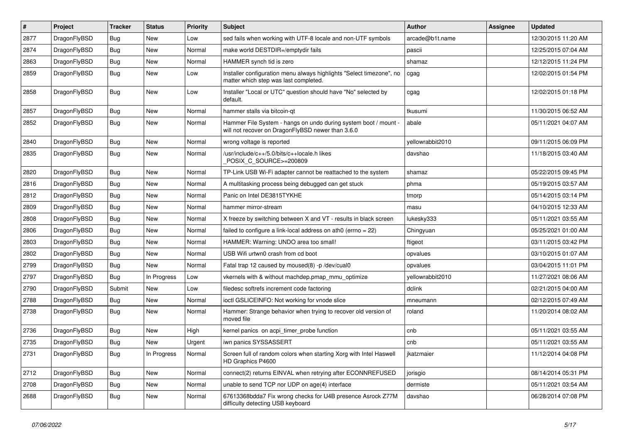| #    | Project      | <b>Tracker</b> | <b>Status</b> | <b>Priority</b> | <b>Subject</b>                                                                                                       | <b>Author</b>    | Assignee | <b>Updated</b>      |
|------|--------------|----------------|---------------|-----------------|----------------------------------------------------------------------------------------------------------------------|------------------|----------|---------------------|
| 2877 | DragonFlyBSD | <b>Bug</b>     | <b>New</b>    | Low             | sed fails when working with UTF-8 locale and non-UTF symbols                                                         | arcade@b1t.name  |          | 12/30/2015 11:20 AM |
| 2874 | DragonFlyBSD | <b>Bug</b>     | <b>New</b>    | Normal          | make world DESTDIR=/emptydir fails                                                                                   | pascii           |          | 12/25/2015 07:04 AM |
| 2863 | DragonFlyBSD | <b>Bug</b>     | <b>New</b>    | Normal          | HAMMER synch tid is zero                                                                                             | shamaz           |          | 12/12/2015 11:24 PM |
| 2859 | DragonFlyBSD | Bug            | <b>New</b>    | Low             | Installer configuration menu always highlights "Select timezone", no<br>matter which step was last completed.        | cgag             |          | 12/02/2015 01:54 PM |
| 2858 | DragonFlyBSD | Bug            | New           | Low             | Installer "Local or UTC" question should have "No" selected by<br>default.                                           | cgag             |          | 12/02/2015 01:18 PM |
| 2857 | DragonFlyBSD | <b>Bug</b>     | <b>New</b>    | Normal          | hammer stalls via bitcoin-qt                                                                                         | tkusumi          |          | 11/30/2015 06:52 AM |
| 2852 | DragonFlyBSD | Bug            | <b>New</b>    | Normal          | Hammer File System - hangs on undo during system boot / mount -<br>will not recover on DragonFlyBSD newer than 3.6.0 | abale            |          | 05/11/2021 04:07 AM |
| 2840 | DragonFlyBSD | <b>Bug</b>     | <b>New</b>    | Normal          | wrong voltage is reported                                                                                            | yellowrabbit2010 |          | 09/11/2015 06:09 PM |
| 2835 | DragonFlyBSD | Bug            | <b>New</b>    | Normal          | /usr/include/c++/5.0/bits/c++locale.h likes<br>POSIX_C_SOURCE>=200809                                                | davshao          |          | 11/18/2015 03:40 AM |
| 2820 | DragonFlyBSD | <b>Bug</b>     | <b>New</b>    | Normal          | TP-Link USB Wi-Fi adapter cannot be reattached to the system                                                         | shamaz           |          | 05/22/2015 09:45 PM |
| 2816 | DragonFlyBSD | Bug            | <b>New</b>    | Normal          | A multitasking process being debugged can get stuck                                                                  | phma             |          | 05/19/2015 03:57 AM |
| 2812 | DragonFlyBSD | <b>Bug</b>     | <b>New</b>    | Normal          | Panic on Intel DE3815TYKHE                                                                                           | tmorp            |          | 05/14/2015 03:14 PM |
| 2809 | DragonFlyBSD | Bug            | <b>New</b>    | Normal          | hammer mirror-stream                                                                                                 | masu             |          | 04/10/2015 12:33 AM |
| 2808 | DragonFlyBSD | <b>Bug</b>     | <b>New</b>    | Normal          | X freeze by switching between X and VT - results in black screen                                                     | lukesky333       |          | 05/11/2021 03:55 AM |
| 2806 | DragonFlyBSD | <b>Bug</b>     | <b>New</b>    | Normal          | failed to configure a link-local address on ath0 (errno = 22)                                                        | Chingyuan        |          | 05/25/2021 01:00 AM |
| 2803 | DragonFlyBSD | Bug            | <b>New</b>    | Normal          | HAMMER: Warning: UNDO area too small!                                                                                | ftigeot          |          | 03/11/2015 03:42 PM |
| 2802 | DragonFlyBSD | <b>Bug</b>     | <b>New</b>    | Normal          | USB Wifi urtwn0 crash from cd boot                                                                                   | opvalues         |          | 03/10/2015 01:07 AM |
| 2799 | DragonFlyBSD | <b>Bug</b>     | New           | Normal          | Fatal trap 12 caused by moused(8) -p/dev/cual0                                                                       | opvalues         |          | 03/04/2015 11:01 PM |
| 2797 | DragonFlyBSD | Bug            | In Progress   | Low             | vkernels with & without machdep.pmap_mmu_optimize                                                                    | yellowrabbit2010 |          | 11/27/2021 08:06 AM |
| 2790 | DragonFlyBSD | Submit         | <b>New</b>    | Low             | filedesc softrefs increment code factoring                                                                           | dclink           |          | 02/21/2015 04:00 AM |
| 2788 | DragonFlyBSD | Bug            | <b>New</b>    | Normal          | ioctl GSLICEINFO: Not working for vnode slice                                                                        | mneumann         |          | 02/12/2015 07:49 AM |
| 2738 | DragonFlyBSD | Bug            | <b>New</b>    | Normal          | Hammer: Strange behavior when trying to recover old version of<br>moved file                                         | roland           |          | 11/20/2014 08:02 AM |
| 2736 | DragonFlyBSD | Bug            | <b>New</b>    | High            | kernel panics on acpi_timer_probe function                                                                           | cnb              |          | 05/11/2021 03:55 AM |
| 2735 | DragonFlyBSD | <b>Bug</b>     | <b>New</b>    | Urgent          | iwn panics SYSSASSERT                                                                                                | cnb              |          | 05/11/2021 03:55 AM |
| 2731 | DragonFlyBSD | Bug            | In Progress   | Normal          | Screen full of random colors when starting Xorg with Intel Haswell<br>HD Graphics P4600                              | jkatzmaier       |          | 11/12/2014 04:08 PM |
| 2712 | DragonFlyBSD | <b>Bug</b>     | New           | Normal          | connect(2) returns EINVAL when retrying after ECONNREFUSED                                                           | jorisgio         |          | 08/14/2014 05:31 PM |
| 2708 | DragonFlyBSD | <b>Bug</b>     | New           | Normal          | unable to send TCP nor UDP on age(4) interface                                                                       | dermiste         |          | 05/11/2021 03:54 AM |
| 2688 | DragonFlyBSD | <b>Bug</b>     | New           | Normal          | 67613368bdda7 Fix wrong checks for U4B presence Asrock Z77M<br>difficulty detecting USB keyboard                     | davshao          |          | 06/28/2014 07:08 PM |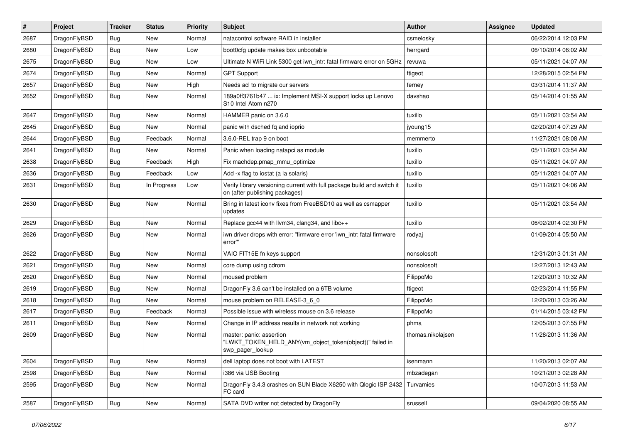| #    | Project      | <b>Tracker</b> | <b>Status</b> | <b>Priority</b> | Subject                                                                                                   | Author            | Assignee | <b>Updated</b>      |
|------|--------------|----------------|---------------|-----------------|-----------------------------------------------------------------------------------------------------------|-------------------|----------|---------------------|
| 2687 | DragonFlyBSD | Bug            | <b>New</b>    | Normal          | natacontrol software RAID in installer                                                                    | csmelosky         |          | 06/22/2014 12:03 PM |
| 2680 | DragonFlyBSD | Bug            | <b>New</b>    | Low             | boot0cfg update makes box unbootable                                                                      | herrgard          |          | 06/10/2014 06:02 AM |
| 2675 | DragonFlyBSD | <b>Bug</b>     | New           | Low             | Ultimate N WiFi Link 5300 get iwn_intr: fatal firmware error on 5GHz                                      | revuwa            |          | 05/11/2021 04:07 AM |
| 2674 | DragonFlyBSD | Bug            | <b>New</b>    | Normal          | <b>GPT Support</b>                                                                                        | ftigeot           |          | 12/28/2015 02:54 PM |
| 2657 | DragonFlyBSD | <b>Bug</b>     | New           | High            | Needs acl to migrate our servers                                                                          | ferney            |          | 03/31/2014 11:37 AM |
| 2652 | DragonFlyBSD | Bug            | New           | Normal          | 189a0ff3761b47  ix: Implement MSI-X support locks up Lenovo<br>S10 Intel Atom n270                        | davshao           |          | 05/14/2014 01:55 AM |
| 2647 | DragonFlyBSD | Bug            | <b>New</b>    | Normal          | HAMMER panic on 3.6.0                                                                                     | tuxillo           |          | 05/11/2021 03:54 AM |
| 2645 | DragonFlyBSD | Bug            | New           | Normal          | panic with dsched fq and ioprio                                                                           | jyoung15          |          | 02/20/2014 07:29 AM |
| 2644 | DragonFlyBSD | Bug            | Feedback      | Normal          | 3.6.0-REL trap 9 on boot                                                                                  | memmerto          |          | 11/27/2021 08:08 AM |
| 2641 | DragonFlyBSD | <b>Bug</b>     | New           | Normal          | Panic when loading natapci as module                                                                      | tuxillo           |          | 05/11/2021 03:54 AM |
| 2638 | DragonFlyBSD | Bug            | Feedback      | High            | Fix machdep.pmap_mmu_optimize                                                                             | tuxillo           |          | 05/11/2021 04:07 AM |
| 2636 | DragonFlyBSD | <b>Bug</b>     | Feedback      | Low             | Add -x flag to iostat (a la solaris)                                                                      | tuxillo           |          | 05/11/2021 04:07 AM |
| 2631 | DragonFlyBSD | Bug            | In Progress   | Low             | Verify library versioning current with full package build and switch it<br>on (after publishing packages) | tuxillo           |          | 05/11/2021 04:06 AM |
| 2630 | DragonFlyBSD | <b>Bug</b>     | New           | Normal          | Bring in latest iconv fixes from FreeBSD10 as well as csmapper<br>updates                                 | tuxillo           |          | 05/11/2021 03:54 AM |
| 2629 | DragonFlyBSD | Bug            | <b>New</b>    | Normal          | Replace gcc44 with llvm34, clang34, and libc++                                                            | tuxillo           |          | 06/02/2014 02:30 PM |
| 2626 | DragonFlyBSD | Bug            | New           | Normal          | iwn driver drops with error: "firmware error 'iwn intr: fatal firmware<br>error""                         | rodyaj            |          | 01/09/2014 05:50 AM |
| 2622 | DragonFlyBSD | Bug            | New           | Normal          | VAIO FIT15E fn keys support                                                                               | nonsolosoft       |          | 12/31/2013 01:31 AM |
| 2621 | DragonFlyBSD | Bug            | New           | Normal          | core dump using cdrom                                                                                     | nonsolosoft       |          | 12/27/2013 12:43 AM |
| 2620 | DragonFlyBSD | <b>Bug</b>     | <b>New</b>    | Normal          | moused problem                                                                                            | FilippoMo         |          | 12/20/2013 10:32 AM |
| 2619 | DragonFlyBSD | <b>Bug</b>     | New           | Normal          | DragonFly 3.6 can't be installed on a 6TB volume                                                          | ftigeot           |          | 02/23/2014 11:55 PM |
| 2618 | DragonFlyBSD | Bug            | New           | Normal          | mouse problem on RELEASE-3_6_0                                                                            | FilippoMo         |          | 12/20/2013 03:26 AM |
| 2617 | DragonFlyBSD | Bug            | Feedback      | Normal          | Possible issue with wireless mouse on 3.6 release                                                         | FilippoMo         |          | 01/14/2015 03:42 PM |
| 2611 | DragonFlyBSD | <b>Bug</b>     | New           | Normal          | Change in IP address results in network not working                                                       | phma              |          | 12/05/2013 07:55 PM |
| 2609 | DragonFlyBSD | <b>Bug</b>     | <b>New</b>    | Normal          | master: panic: assertion<br>"LWKT TOKEN HELD ANY(vm object token(object))" failed in<br>swp_pager_lookup  | thomas.nikolajsen |          | 11/28/2013 11:36 AM |
| 2604 | DragonFlyBSD | Bug            | New           | Normal          | dell laptop does not boot with LATEST                                                                     | isenmann          |          | 11/20/2013 02:07 AM |
| 2598 | DragonFlyBSD | <b>Bug</b>     | New           | Normal          | i386 via USB Booting                                                                                      | mbzadegan         |          | 10/21/2013 02:28 AM |
| 2595 | DragonFlyBSD | <b>Bug</b>     | New           | Normal          | DragonFly 3.4.3 crashes on SUN Blade X6250 with Qlogic ISP 2432<br>FC card                                | Turvamies         |          | 10/07/2013 11:53 AM |
| 2587 | DragonFlyBSD | Bug            | New           | Normal          | SATA DVD writer not detected by DragonFly                                                                 | srussell          |          | 09/04/2020 08:55 AM |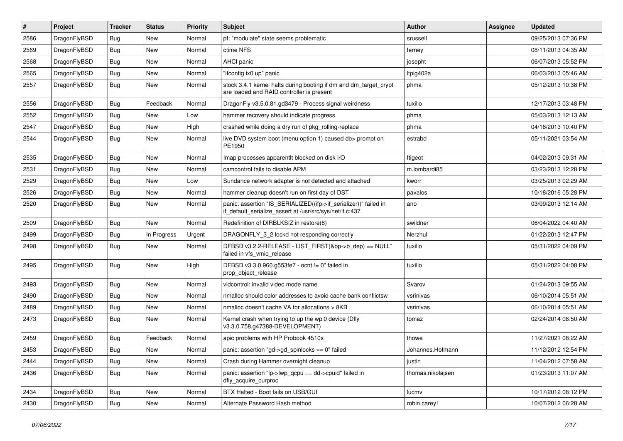| #    | Project      | <b>Tracker</b> | <b>Status</b> | <b>Priority</b> | Subject                                                                                                                      | <b>Author</b>     | <b>Assignee</b> | Updated             |
|------|--------------|----------------|---------------|-----------------|------------------------------------------------------------------------------------------------------------------------------|-------------------|-----------------|---------------------|
| 2586 | DragonFlyBSD | <b>Bug</b>     | <b>New</b>    | Normal          | pf: "modulate" state seems problematic                                                                                       | srussell          |                 | 09/25/2013 07:36 PM |
| 2569 | DragonFlyBSD | <b>Bug</b>     | <b>New</b>    | Normal          | ctime NFS                                                                                                                    | ferney            |                 | 08/11/2013 04:35 AM |
| 2568 | DragonFlyBSD | <b>Bug</b>     | New           | Normal          | AHCI panic                                                                                                                   | josepht           |                 | 06/07/2013 05:52 PM |
| 2565 | DragonFlyBSD | <b>Bug</b>     | New           | Normal          | "ifconfig ix0 up" panic                                                                                                      | Itpig402a         |                 | 06/03/2013 05:46 AM |
| 2557 | DragonFlyBSD | <b>Bug</b>     | <b>New</b>    | Normal          | stock 3.4.1 kernel halts during booting if dm and dm_target_crypt<br>are loaded and RAID controller is present               | phma              |                 | 05/12/2013 10:38 PM |
| 2556 | DragonFlyBSD | <b>Bug</b>     | Feedback      | Normal          | DragonFly v3.5.0.81.gd3479 - Process signal weirdness                                                                        | tuxillo           |                 | 12/17/2013 03:48 PM |
| 2552 | DragonFlyBSD | <b>Bug</b>     | New           | Low             | hammer recovery should indicate progress                                                                                     | phma              |                 | 05/03/2013 12:13 AM |
| 2547 | DragonFlyBSD | <b>Bug</b>     | New           | High            | crashed while doing a dry run of pkg_rolling-replace                                                                         | phma              |                 | 04/18/2013 10:40 PM |
| 2544 | DragonFlyBSD | <b>Bug</b>     | <b>New</b>    | Normal          | live DVD system boot (menu option 1) caused db> prompt on<br>PE1950                                                          | estrabd           |                 | 05/11/2021 03:54 AM |
| 2535 | DragonFlyBSD | <b>Bug</b>     | <b>New</b>    | Normal          | Imap processes apparentlt blocked on disk I/O                                                                                | ftigeot           |                 | 04/02/2013 09:31 AM |
| 2531 | DragonFlyBSD | <b>Bug</b>     | New           | Normal          | camcontrol fails to disable APM                                                                                              | m.lombardi85      |                 | 03/23/2013 12:28 PM |
| 2529 | DragonFlyBSD | <b>Bug</b>     | New           | Low             | Sundance network adapter is not detected and attached                                                                        | kworr             |                 | 03/25/2013 02:29 AM |
| 2526 | DragonFlyBSD | <b>Bug</b>     | New           | Normal          | hammer cleanup doesn't run on first day of DST                                                                               | pavalos           |                 | 10/18/2016 05:28 PM |
| 2520 | DragonFlyBSD | <b>Bug</b>     | <b>New</b>    | Normal          | panic: assertion "IS_SERIALIZED((ifp->if_serializer))" failed in<br>if_default_serialize_assert at /usr/src/sys/net/if.c:437 | ano               |                 | 03/09/2013 12:14 AM |
| 2509 | DragonFlyBSD | <b>Bug</b>     | <b>New</b>    | Normal          | Redefinition of DIRBLKSIZ in restore(8)                                                                                      | swildner          |                 | 06/04/2022 04:40 AM |
| 2499 | DragonFlyBSD | <b>Bug</b>     | In Progress   | Urgent          | DRAGONFLY_3_2 lockd not responding correctly                                                                                 | Nerzhul           |                 | 01/22/2013 12:47 PM |
| 2498 | DragonFlyBSD | <b>Bug</b>     | <b>New</b>    | Normal          | DFBSD v3.2.2-RELEASE - LIST_FIRST(&bp->b_dep) == NULL"<br>failed in vfs_vmio_release                                         | tuxillo           |                 | 05/31/2022 04:09 PM |
| 2495 | DragonFlyBSD | <b>Bug</b>     | New           | High            | DFBSD v3.3.0.960.g553fe7 - ocnt != 0" failed in<br>prop_object_release                                                       | tuxillo           |                 | 05/31/2022 04:08 PM |
| 2493 | DragonFlyBSD | <b>Bug</b>     | <b>New</b>    | Normal          | vidcontrol: invalid video mode name                                                                                          | Svarov            |                 | 01/24/2013 09:55 AM |
| 2490 | DragonFlyBSD | <b>Bug</b>     | <b>New</b>    | Normal          | nmalloc should color addresses to avoid cache bank conflictsw                                                                | vsrinivas         |                 | 06/10/2014 05:51 AM |
| 2489 | DragonFlyBSD | <b>Bug</b>     | New           | Normal          | nmalloc doesn't cache VA for allocations > 8KB                                                                               | vsrinivas         |                 | 06/10/2014 05:51 AM |
| 2473 | DragonFlyBSD | <b>Bug</b>     | New           | Normal          | Kernel crash when trying to up the wpi0 device (Dfly<br>v3.3.0.758.g47388-DEVELOPMENT)                                       | tomaz             |                 | 02/24/2014 08:50 AM |
| 2459 | DragonFlyBSD | <b>Bug</b>     | Feedback      | Normal          | apic problems with HP Probook 4510s                                                                                          | thowe             |                 | 11/27/2021 08:22 AM |
| 2453 | DragonFlyBSD | Bug            | <b>New</b>    | Normal          | panic: assertion "gd->gd spinlocks == $0$ " failed                                                                           | Johannes.Hofmann  |                 | 11/12/2012 12:54 PM |
| 2444 | DragonFlyBSD | <b>Bug</b>     | New           | Normal          | Crash during Hammer overnight cleanup                                                                                        | justin            |                 | 11/04/2012 07:58 AM |
| 2436 | DragonFlyBSD | <b>Bug</b>     | New           | Normal          | panic: assertion "lp->lwp_qcpu == dd->cpuid" failed in<br>dfly_acquire_curproc                                               | thomas.nikolajsen |                 | 01/23/2013 11:07 AM |
| 2434 | DragonFlyBSD | <b>Bug</b>     | <b>New</b>    | Normal          | BTX Halted - Boot fails on USB/GUI                                                                                           | lucmv             |                 | 10/17/2012 08:12 PM |
| 2430 | DragonFlyBSD | <b>Bug</b>     | New           | Normal          | Alternate Password Hash method                                                                                               | robin.carey1      |                 | 10/07/2012 06:28 AM |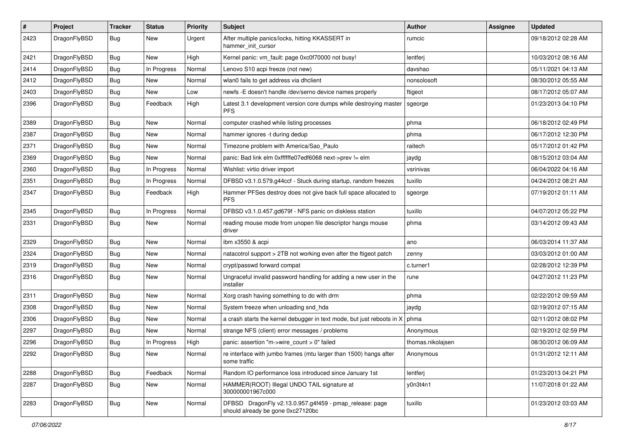| #    | Project      | <b>Tracker</b> | <b>Status</b> | <b>Priority</b> | Subject                                                                                      | <b>Author</b>     | Assignee | <b>Updated</b>      |
|------|--------------|----------------|---------------|-----------------|----------------------------------------------------------------------------------------------|-------------------|----------|---------------------|
| 2423 | DragonFlyBSD | <b>Bug</b>     | New           | Urgent          | After multiple panics/locks, hitting KKASSERT in<br>hammer init cursor                       | rumcic            |          | 09/18/2012 02:28 AM |
| 2421 | DragonFlyBSD | Bug            | New           | High            | Kernel panic: vm_fault: page 0xc0f70000 not busy!                                            | lentferj          |          | 10/03/2012 08:16 AM |
| 2414 | DragonFlyBSD | Bug            | In Progress   | Normal          | Lenovo S10 acpi freeze (not new)                                                             | davshao           |          | 05/11/2021 04:13 AM |
| 2412 | DragonFlyBSD | Bug            | New           | Normal          | wlan0 fails to get address via dhclient                                                      | nonsolosoft       |          | 08/30/2012 05:55 AM |
| 2403 | DragonFlyBSD | Bug            | New           | Low             | newfs -E doesn't handle /dev/serno device names properly                                     | ftigeot           |          | 08/17/2012 05:07 AM |
| 2396 | DragonFlyBSD | <b>Bug</b>     | Feedback      | High            | Latest 3.1 development version core dumps while destroying master<br><b>PFS</b>              | sgeorge           |          | 01/23/2013 04:10 PM |
| 2389 | DragonFlyBSD | Bug            | New           | Normal          | computer crashed while listing processes                                                     | phma              |          | 06/18/2012 02:49 PM |
| 2387 | DragonFlyBSD | Bug            | <b>New</b>    | Normal          | hammer ignores -t during dedup                                                               | phma              |          | 06/17/2012 12:30 PM |
| 2371 | DragonFlyBSD | Bug            | New           | Normal          | Timezone problem with America/Sao_Paulo                                                      | raitech           |          | 05/17/2012 01:42 PM |
| 2369 | DragonFlyBSD | Bug            | New           | Normal          | panic: Bad link elm 0xffffffe07edf6068 next->prev != elm                                     | jaydg             |          | 08/15/2012 03:04 AM |
| 2360 | DragonFlyBSD | Bug            | In Progress   | Normal          | Wishlist: virtio driver import                                                               | vsrinivas         |          | 06/04/2022 04:16 AM |
| 2351 | DragonFlyBSD | Bug            | In Progress   | Normal          | DFBSD v3.1.0.579.g44ccf - Stuck during startup, random freezes                               | tuxillo           |          | 04/24/2012 08:21 AM |
| 2347 | DragonFlyBSD | <b>Bug</b>     | Feedback      | High            | Hammer PFSes destroy does not give back full space allocated to<br><b>PFS</b>                | sgeorge           |          | 07/19/2012 01:11 AM |
| 2345 | DragonFlyBSD | <b>Bug</b>     | In Progress   | Normal          | DFBSD v3.1.0.457.gd679f - NFS panic on diskless station                                      | tuxillo           |          | 04/07/2012 05:22 PM |
| 2331 | DragonFlyBSD | Bug            | New           | Normal          | reading mouse mode from unopen file descriptor hangs mouse<br>driver                         | phma              |          | 03/14/2012 09:43 AM |
| 2329 | DragonFlyBSD | <b>Bug</b>     | New           | Normal          | ibm x3550 & acpi                                                                             | ano               |          | 06/03/2014 11:37 AM |
| 2324 | DragonFlyBSD | <b>Bug</b>     | New           | Normal          | natacotrol support > 2TB not working even after the ftigeot patch                            | zenny             |          | 03/03/2012 01:00 AM |
| 2319 | DragonFlyBSD | <b>Bug</b>     | <b>New</b>    | Normal          | crypt/passwd forward compat                                                                  | c.turner1         |          | 02/28/2012 12:39 PM |
| 2316 | DragonFlyBSD | <b>Bug</b>     | New           | Normal          | Ungraceful invalid password handling for adding a new user in the<br>installer               | rune              |          | 04/27/2012 11:23 PM |
| 2311 | DragonFlyBSD | <b>Bug</b>     | New           | Normal          | Xorg crash having something to do with drm                                                   | phma              |          | 02/22/2012 09:59 AM |
| 2308 | DragonFlyBSD | <b>Bug</b>     | New           | Normal          | System freeze when unloading snd_hda                                                         | jaydg             |          | 02/19/2012 07:15 AM |
| 2306 | DragonFlyBSD | Bug            | New           | Normal          | a crash starts the kernel debugger in text mode, but just reboots in X                       | phma              |          | 02/11/2012 08:02 PM |
| 2297 | DragonFlyBSD | <b>Bug</b>     | New           | Normal          | strange NFS (client) error messages / problems                                               | Anonymous         |          | 02/19/2012 02:59 PM |
| 2296 | DragonFlyBSD | <b>Bug</b>     | In Progress   | High            | panic: assertion "m->wire_count > 0" failed                                                  | thomas.nikolajsen |          | 08/30/2012 06:09 AM |
| 2292 | DragonFlyBSD | <b>Bug</b>     | New           | Normal          | re interface with jumbo frames (mtu larger than 1500) hangs after<br>some traffic            | Anonymous         |          | 01/31/2012 12:11 AM |
| 2288 | DragonFlyBSD | Bug            | Feedback      | Normal          | Random IO performance loss introduced since January 1st                                      | lentferj          |          | 01/23/2013 04:21 PM |
| 2287 | DragonFlyBSD | <b>Bug</b>     | New           | Normal          | HAMMER(ROOT) Illegal UNDO TAIL signature at<br>300000001967c000                              | y0n3t4n1          |          | 11/07/2018 01:22 AM |
| 2283 | DragonFlyBSD | <b>Bug</b>     | New           | Normal          | DFBSD DragonFly v2.13.0.957.g4f459 - pmap_release: page<br>should already be gone 0xc27120bc | tuxillo           |          | 01/23/2012 03:03 AM |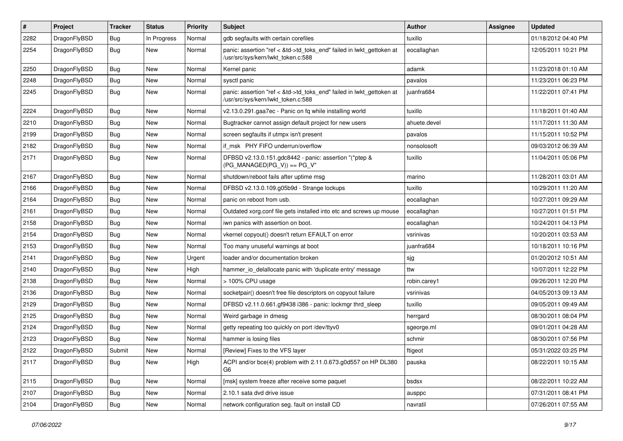| #    | Project      | <b>Tracker</b> | <b>Status</b> | <b>Priority</b> | Subject                                                                                                    | <b>Author</b> | Assignee | <b>Updated</b>      |
|------|--------------|----------------|---------------|-----------------|------------------------------------------------------------------------------------------------------------|---------------|----------|---------------------|
| 2282 | DragonFlyBSD | <b>Bug</b>     | In Progress   | Normal          | gdb segfaults with certain corefiles                                                                       | tuxillo       |          | 01/18/2012 04:40 PM |
| 2254 | DragonFlyBSD | <b>Bug</b>     | <b>New</b>    | Normal          | panic: assertion "ref < &td->td_toks_end" failed in lwkt_gettoken at<br>/usr/src/sys/kern/lwkt_token.c:588 | eocallaghan   |          | 12/05/2011 10:21 PM |
| 2250 | DragonFlyBSD | <b>Bug</b>     | New           | Normal          | Kernel panic                                                                                               | adamk         |          | 11/23/2018 01:10 AM |
| 2248 | DragonFlyBSD | <b>Bug</b>     | New           | Normal          | sysctl panic                                                                                               | pavalos       |          | 11/23/2011 06:23 PM |
| 2245 | DragonFlyBSD | <b>Bug</b>     | <b>New</b>    | Normal          | panic: assertion "ref < &td->td_toks_end" failed in lwkt_gettoken at<br>/usr/src/sys/kern/lwkt_token.c:588 | juanfra684    |          | 11/22/2011 07:41 PM |
| 2224 | DragonFlyBSD | <b>Bug</b>     | New           | Normal          | v2.13.0.291.gaa7ec - Panic on fq while installing world                                                    | tuxillo       |          | 11/18/2011 01:40 AM |
| 2210 | DragonFlyBSD | <b>Bug</b>     | New           | Normal          | Bugtracker cannot assign default project for new users                                                     | ahuete.devel  |          | 11/17/2011 11:30 AM |
| 2199 | DragonFlyBSD | <b>Bug</b>     | New           | Normal          | screen segfaults if utmpx isn't present                                                                    | pavalos       |          | 11/15/2011 10:52 PM |
| 2182 | DragonFlyBSD | Bug            | New           | Normal          | if msk PHY FIFO underrun/overflow                                                                          | nonsolosoft   |          | 09/03/2012 06:39 AM |
| 2171 | DragonFlyBSD | <b>Bug</b>     | <b>New</b>    | Normal          | DFBSD v2.13.0.151.gdc8442 - panic: assertion "(*ptep &<br>$(PG_MANAGED PG_V)$ == PG_V"                     | tuxillo       |          | 11/04/2011 05:06 PM |
| 2167 | DragonFlyBSD | <b>Bug</b>     | <b>New</b>    | Normal          | shutdown/reboot fails after uptime msg                                                                     | marino        |          | 11/28/2011 03:01 AM |
| 2166 | DragonFlyBSD | <b>Bug</b>     | New           | Normal          | DFBSD v2.13.0.109.g05b9d - Strange lockups                                                                 | tuxillo       |          | 10/29/2011 11:20 AM |
| 2164 | DragonFlyBSD | Bug            | <b>New</b>    | Normal          | panic on reboot from usb.                                                                                  | eocallaghan   |          | 10/27/2011 09:29 AM |
| 2161 | DragonFlyBSD | <b>Bug</b>     | New           | Normal          | Outdated xorg.conf file gets installed into etc and screws up mouse                                        | eocallaghan   |          | 10/27/2011 01:51 PM |
| 2158 | DragonFlyBSD | <b>Bug</b>     | New           | Normal          | iwn panics with assertion on boot.                                                                         | eocallaghan   |          | 10/24/2011 04:13 PM |
| 2154 | DragonFlyBSD | <b>Bug</b>     | New           | Normal          | vkernel copyout() doesn't return EFAULT on error                                                           | vsrinivas     |          | 10/20/2011 03:53 AM |
| 2153 | DragonFlyBSD | <b>Bug</b>     | <b>New</b>    | Normal          | Too many unuseful warnings at boot                                                                         | juanfra684    |          | 10/18/2011 10:16 PM |
| 2141 | DragonFlyBSD | Bug            | <b>New</b>    | Urgent          | loader and/or documentation broken                                                                         | sjg           |          | 01/20/2012 10:51 AM |
| 2140 | DragonFlyBSD | Bug            | New           | High            | hammer io delallocate panic with 'duplicate entry' message                                                 | ttw           |          | 10/07/2011 12:22 PM |
| 2138 | DragonFlyBSD | Bug            | New           | Normal          | > 100% CPU usage                                                                                           | robin.carey1  |          | 09/26/2011 12:20 PM |
| 2136 | DragonFlyBSD | Bug            | New           | Normal          | socketpair() doesn't free file descriptors on copyout failure                                              | vsrinivas     |          | 04/05/2013 09:13 AM |
| 2129 | DragonFlyBSD | Bug            | New           | Normal          | DFBSD v2.11.0.661.gf9438 i386 - panic: lockmgr thrd sleep                                                  | tuxillo       |          | 09/05/2011 09:49 AM |
| 2125 | DragonFlyBSD | Bug            | New           | Normal          | Weird garbage in dmesg                                                                                     | herrgard      |          | 08/30/2011 08:04 PM |
| 2124 | DragonFlyBSD | Bug            | <b>New</b>    | Normal          | getty repeating too quickly on port /dev/ttyv0                                                             | sgeorge.ml    |          | 09/01/2011 04:28 AM |
| 2123 | DragonFlyBSD | Bug            | New           | Normal          | hammer is losing files                                                                                     | schmir        |          | 08/30/2011 07:56 PM |
| 2122 | DragonFlyBSD | Submit         | New           | Normal          | [Review] Fixes to the VFS layer                                                                            | ftigeot       |          | 05/31/2022 03:25 PM |
| 2117 | DragonFlyBSD | <b>Bug</b>     | New           | High            | ACPI and/or bce(4) problem with 2.11.0.673.g0d557 on HP DL380<br>G6                                        | pauska        |          | 08/22/2011 10:15 AM |
| 2115 | DragonFlyBSD | <b>Bug</b>     | New           | Normal          | [msk] system freeze after receive some paquet                                                              | bsdsx         |          | 08/22/2011 10:22 AM |
| 2107 | DragonFlyBSD | <b>Bug</b>     | New           | Normal          | 2.10.1 sata dvd drive issue                                                                                | ausppc        |          | 07/31/2011 08:41 PM |
| 2104 | DragonFlyBSD | <b>Bug</b>     | New           | Normal          | network configuration seg. fault on install CD                                                             | navratil      |          | 07/26/2011 07:55 AM |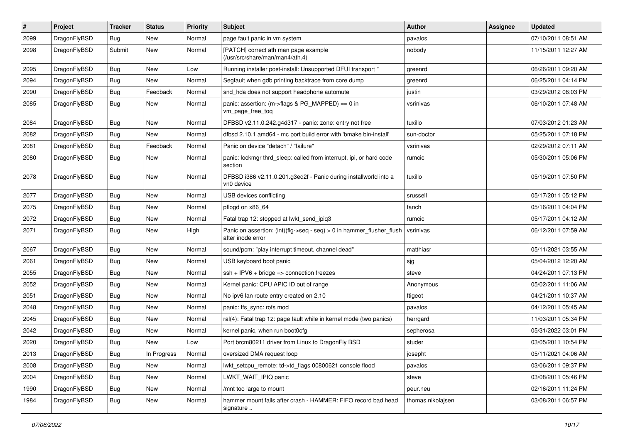| $\sharp$ | Project      | <b>Tracker</b> | <b>Status</b> | <b>Priority</b> | Subject                                                                                    | <b>Author</b>     | Assignee | <b>Updated</b>      |
|----------|--------------|----------------|---------------|-----------------|--------------------------------------------------------------------------------------------|-------------------|----------|---------------------|
| 2099     | DragonFlyBSD | Bug            | <b>New</b>    | Normal          | page fault panic in vm system                                                              | pavalos           |          | 07/10/2011 08:51 AM |
| 2098     | DragonFlyBSD | Submit         | <b>New</b>    | Normal          | [PATCH] correct ath man page example<br>(/usr/src/share/man/man4/ath.4)                    | nobody            |          | 11/15/2011 12:27 AM |
| 2095     | DragonFlyBSD | Bug            | New           | Low             | Running installer post-install: Unsupported DFUI transport "                               | greenrd           |          | 06/26/2011 09:20 AM |
| 2094     | DragonFlyBSD | Bug            | New           | Normal          | Segfault when gdb printing backtrace from core dump                                        | greenrd           |          | 06/25/2011 04:14 PM |
| 2090     | DragonFlyBSD | Bug            | Feedback      | Normal          | snd_hda does not support headphone automute                                                | justin            |          | 03/29/2012 08:03 PM |
| 2085     | DragonFlyBSD | <b>Bug</b>     | New           | Normal          | panic: assertion: (m->flags & PG_MAPPED) == 0 in<br>vm_page_free_toq                       | vsrinivas         |          | 06/10/2011 07:48 AM |
| 2084     | DragonFlyBSD | Bug            | New           | Normal          | DFBSD v2.11.0.242.g4d317 - panic: zone: entry not free                                     | tuxillo           |          | 07/03/2012 01:23 AM |
| 2082     | DragonFlyBSD | Bug            | New           | Normal          | dfbsd 2.10.1 amd64 - mc port build error with 'bmake bin-install'                          | sun-doctor        |          | 05/25/2011 07:18 PM |
| 2081     | DragonFlyBSD | Bug            | Feedback      | Normal          | Panic on device "detach" / "failure"                                                       | vsrinivas         |          | 02/29/2012 07:11 AM |
| 2080     | DragonFlyBSD | <b>Bug</b>     | New           | Normal          | panic: lockmgr thrd_sleep: called from interrupt, ipi, or hard code<br>section             | rumcic            |          | 05/30/2011 05:06 PM |
| 2078     | DragonFlyBSD | Bug            | New           | Normal          | DFBSD i386 v2.11.0.201.g3ed2f - Panic during installworld into a<br>vn0 device             | tuxillo           |          | 05/19/2011 07:50 PM |
| 2077     | DragonFlyBSD | Bug            | New           | Normal          | USB devices conflicting                                                                    | srussell          |          | 05/17/2011 05:12 PM |
| 2075     | DragonFlyBSD | Bug            | New           | Normal          | pflogd on x86 64                                                                           | fanch             |          | 05/16/2011 04:04 PM |
| 2072     | DragonFlyBSD | Bug            | <b>New</b>    | Normal          | Fatal trap 12: stopped at lwkt_send_ipiq3                                                  | rumcic            |          | 05/17/2011 04:12 AM |
| 2071     | DragonFlyBSD | <b>Bug</b>     | New           | High            | Panic on assertion: (int)(flg->seq - seq) > 0 in hammer_flusher_flush<br>after inode error | vsrinivas         |          | 06/12/2011 07:59 AM |
| 2067     | DragonFlyBSD | Bug            | New           | Normal          | sound/pcm: "play interrupt timeout, channel dead"                                          | matthiasr         |          | 05/11/2021 03:55 AM |
| 2061     | DragonFlyBSD | Bug            | New           | Normal          | USB keyboard boot panic                                                                    | sjg               |          | 05/04/2012 12:20 AM |
| 2055     | DragonFlyBSD | Bug            | <b>New</b>    | Normal          | $ssh + IPV6 + bridge \Rightarrow connection freezes$                                       | steve             |          | 04/24/2011 07:13 PM |
| 2052     | DragonFlyBSD | Bug            | <b>New</b>    | Normal          | Kernel panic: CPU APIC ID out of range                                                     | Anonymous         |          | 05/02/2011 11:06 AM |
| 2051     | DragonFlyBSD | Bug            | New           | Normal          | No ipv6 lan route entry created on 2.10                                                    | ftigeot           |          | 04/21/2011 10:37 AM |
| 2048     | DragonFlyBSD | Bug            | New           | Normal          | panic: ffs_sync: rofs mod                                                                  | pavalos           |          | 04/12/2011 05:45 AM |
| 2045     | DragonFlyBSD | Bug            | New           | Normal          | ral(4): Fatal trap 12: page fault while in kernel mode (two panics)                        | herrgard          |          | 11/03/2011 05:34 PM |
| 2042     | DragonFlyBSD | Bug            | <b>New</b>    | Normal          | kernel panic, when run boot0cfg                                                            | sepherosa         |          | 05/31/2022 03:01 PM |
| 2020     | DragonFlyBSD | <b>Bug</b>     | <b>New</b>    | Low             | Port brcm80211 driver from Linux to DragonFly BSD                                          | studer            |          | 03/05/2011 10:54 PM |
| 2013     | DragonFlyBSD | <b>Bug</b>     | In Progress   | Normal          | oversized DMA request loop                                                                 | josepht           |          | 05/11/2021 04:06 AM |
| 2008     | DragonFlyBSD | <b>Bug</b>     | <b>New</b>    | Normal          | lwkt_setcpu_remote: td->td_flags 00800621 console flood                                    | pavalos           |          | 03/06/2011 09:37 PM |
| 2004     | DragonFlyBSD | <b>Bug</b>     | <b>New</b>    | Normal          | LWKT_WAIT_IPIQ panic                                                                       | steve             |          | 03/08/2011 05:46 PM |
| 1990     | DragonFlyBSD | Bug            | New           | Normal          | /mnt too large to mount                                                                    | peur.neu          |          | 02/16/2011 11:24 PM |
| 1984     | DragonFlyBSD | <b>Bug</b>     | New           | Normal          | hammer mount fails after crash - HAMMER: FIFO record bad head<br>signature                 | thomas.nikolajsen |          | 03/08/2011 06:57 PM |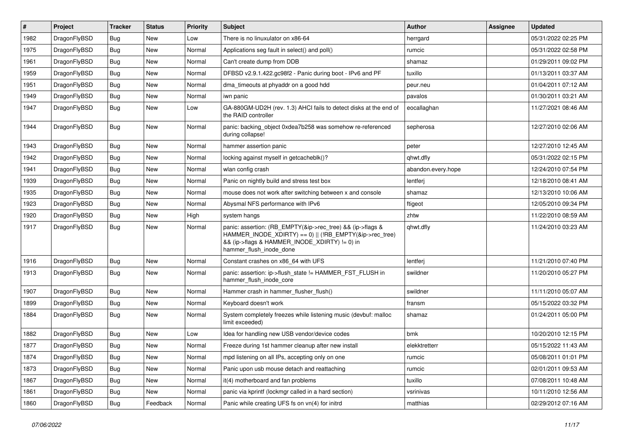| $\vert$ # | Project      | <b>Tracker</b> | <b>Status</b> | <b>Priority</b> | Subject                                                                                                                                                                                           | <b>Author</b>      | Assignee | <b>Updated</b>      |
|-----------|--------------|----------------|---------------|-----------------|---------------------------------------------------------------------------------------------------------------------------------------------------------------------------------------------------|--------------------|----------|---------------------|
| 1982      | DragonFlyBSD | <b>Bug</b>     | New           | Low             | There is no linuxulator on x86-64                                                                                                                                                                 | herrgard           |          | 05/31/2022 02:25 PM |
| 1975      | DragonFlyBSD | Bug            | New           | Normal          | Applications seg fault in select() and poll()                                                                                                                                                     | rumcic             |          | 05/31/2022 02:58 PM |
| 1961      | DragonFlyBSD | <b>Bug</b>     | New           | Normal          | Can't create dump from DDB                                                                                                                                                                        | shamaz             |          | 01/29/2011 09:02 PM |
| 1959      | DragonFlyBSD | <b>Bug</b>     | New           | Normal          | DFBSD v2.9.1.422.gc98f2 - Panic during boot - IPv6 and PF                                                                                                                                         | tuxillo            |          | 01/13/2011 03:37 AM |
| 1951      | DragonFlyBSD | <b>Bug</b>     | <b>New</b>    | Normal          | dma timeouts at phyaddr on a good hdd                                                                                                                                                             | peur.neu           |          | 01/04/2011 07:12 AM |
| 1949      | DragonFlyBSD | <b>Bug</b>     | New           | Normal          | iwn panic                                                                                                                                                                                         | pavalos            |          | 01/30/2011 03:21 AM |
| 1947      | DragonFlyBSD | Bug            | New           | Low             | GA-880GM-UD2H (rev. 1.3) AHCI fails to detect disks at the end of<br>the RAID controller                                                                                                          | eocallaghan        |          | 11/27/2021 08:46 AM |
| 1944      | DragonFlyBSD | Bug            | New           | Normal          | panic: backing object 0xdea7b258 was somehow re-referenced<br>during collapse!                                                                                                                    | sepherosa          |          | 12/27/2010 02:06 AM |
| 1943      | DragonFlyBSD | Bug            | New           | Normal          | hammer assertion panic                                                                                                                                                                            | peter              |          | 12/27/2010 12:45 AM |
| 1942      | DragonFlyBSD | <b>Bug</b>     | New           | Normal          | locking against myself in getcacheblk()?                                                                                                                                                          | qhwt.dfly          |          | 05/31/2022 02:15 PM |
| 1941      | DragonFlyBSD | <b>Bug</b>     | New           | Normal          | wlan config crash                                                                                                                                                                                 | abandon.every.hope |          | 12/24/2010 07:54 PM |
| 1939      | DragonFlyBSD | <b>Bug</b>     | New           | Normal          | Panic on nightly build and stress test box                                                                                                                                                        | lentferj           |          | 12/18/2010 08:41 AM |
| 1935      | DragonFlyBSD | <b>Bug</b>     | <b>New</b>    | Normal          | mouse does not work after switching between x and console                                                                                                                                         | shamaz             |          | 12/13/2010 10:06 AM |
| 1923      | DragonFlyBSD | <b>Bug</b>     | New           | Normal          | Abysmal NFS performance with IPv6                                                                                                                                                                 | ftigeot            |          | 12/05/2010 09:34 PM |
| 1920      | DragonFlyBSD | <b>Bug</b>     | New           | High            | system hangs                                                                                                                                                                                      | zhtw               |          | 11/22/2010 08:59 AM |
| 1917      | DragonFlyBSD | <b>Bug</b>     | New           | Normal          | panic: assertion: (RB_EMPTY(&ip->rec_tree) && (ip->flags &<br>HAMMER_INODE_XDIRTY) == 0)    (!RB_EMPTY(&ip->rec_tree)<br>&& (ip->flags & HAMMER_INODE_XDIRTY) != 0) in<br>hammer_flush_inode_done | qhwt.dfly          |          | 11/24/2010 03:23 AM |
| 1916      | DragonFlyBSD | Bug            | New           | Normal          | Constant crashes on x86_64 with UFS                                                                                                                                                               | lentferj           |          | 11/21/2010 07:40 PM |
| 1913      | DragonFlyBSD | Bug            | New           | Normal          | panic: assertion: ip->flush_state != HAMMER_FST_FLUSH in<br>hammer_flush_inode_core                                                                                                               | swildner           |          | 11/20/2010 05:27 PM |
| 1907      | DragonFlyBSD | <b>Bug</b>     | New           | Normal          | Hammer crash in hammer_flusher_flush()                                                                                                                                                            | swildner           |          | 11/11/2010 05:07 AM |
| 1899      | DragonFlyBSD | Bug            | New           | Normal          | Keyboard doesn't work                                                                                                                                                                             | fransm             |          | 05/15/2022 03:32 PM |
| 1884      | DragonFlyBSD | Bug            | New           | Normal          | System completely freezes while listening music (devbuf: malloc<br>limit exceeded)                                                                                                                | shamaz             |          | 01/24/2011 05:00 PM |
| 1882      | DragonFlyBSD | <b>Bug</b>     | <b>New</b>    | Low             | Idea for handling new USB vendor/device codes                                                                                                                                                     | bmk                |          | 10/20/2010 12:15 PM |
| 1877      | DragonFlyBSD | Bug            | New           | Normal          | Freeze during 1st hammer cleanup after new install                                                                                                                                                | elekktretterr      |          | 05/15/2022 11:43 AM |
| 1874      | DragonFlyBSD | Bug            | New           | Normal          | mpd listening on all IPs, accepting only on one                                                                                                                                                   | rumcic             |          | 05/08/2011 01:01 PM |
| 1873      | DragonFlyBSD | Bug            | New           | Normal          | Panic upon usb mouse detach and reattaching                                                                                                                                                       | rumcic             |          | 02/01/2011 09:53 AM |
| 1867      | DragonFlyBSD | Bug            | New           | Normal          | it(4) motherboard and fan problems                                                                                                                                                                | tuxillo            |          | 07/08/2011 10:48 AM |
| 1861      | DragonFlyBSD | Bug            | New           | Normal          | panic via kprintf (lockmgr called in a hard section)                                                                                                                                              | vsrinivas          |          | 10/11/2010 12:56 AM |
| 1860      | DragonFlyBSD | <b>Bug</b>     | Feedback      | Normal          | Panic while creating UFS fs on vn(4) for initrd                                                                                                                                                   | matthias           |          | 02/29/2012 07:16 AM |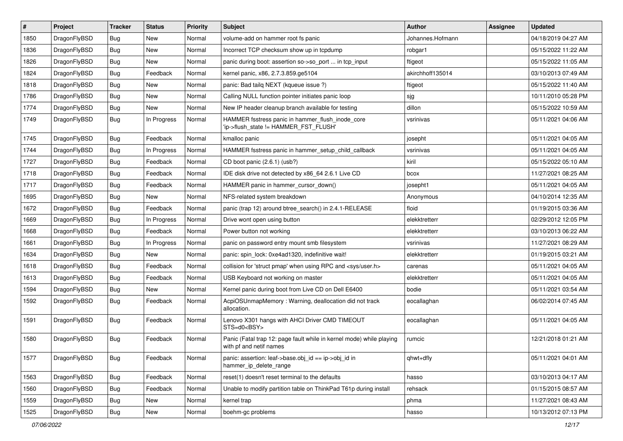| $\vert$ # | Project      | <b>Tracker</b> | <b>Status</b> | <b>Priority</b> | Subject                                                                                         | <b>Author</b>    | <b>Assignee</b> | <b>Updated</b>      |
|-----------|--------------|----------------|---------------|-----------------|-------------------------------------------------------------------------------------------------|------------------|-----------------|---------------------|
| 1850      | DragonFlyBSD | <b>Bug</b>     | <b>New</b>    | Normal          | volume-add on hammer root fs panic                                                              | Johannes.Hofmann |                 | 04/18/2019 04:27 AM |
| 1836      | DragonFlyBSD | Bug            | <b>New</b>    | Normal          | Incorrect TCP checksum show up in tcpdump                                                       | robgar1          |                 | 05/15/2022 11:22 AM |
| 1826      | DragonFlyBSD | <b>Bug</b>     | New           | Normal          | panic during boot: assertion so->so_port  in tcp_input                                          | ftigeot          |                 | 05/15/2022 11:05 AM |
| 1824      | DragonFlyBSD | Bug            | Feedback      | Normal          | kernel panic, x86, 2.7.3.859.ge5104                                                             | akirchhoff135014 |                 | 03/10/2013 07:49 AM |
| 1818      | DragonFlyBSD | Bug            | <b>New</b>    | Normal          | panic: Bad tailq NEXT (kqueue issue ?)                                                          | ftigeot          |                 | 05/15/2022 11:40 AM |
| 1786      | DragonFlyBSD | <b>Bug</b>     | New           | Normal          | Calling NULL function pointer initiates panic loop                                              | sjg              |                 | 10/11/2010 05:28 PM |
| 1774      | DragonFlyBSD | Bug            | <b>New</b>    | Normal          | New IP header cleanup branch available for testing                                              | dillon           |                 | 05/15/2022 10:59 AM |
| 1749      | DragonFlyBSD | Bug            | In Progress   | Normal          | HAMMER fsstress panic in hammer_flush_inode_core<br>'ip->flush_state != HAMMER_FST_FLUSH'       | vsrinivas        |                 | 05/11/2021 04:06 AM |
| 1745      | DragonFlyBSD | <b>Bug</b>     | Feedback      | Normal          | kmalloc panic                                                                                   | josepht          |                 | 05/11/2021 04:05 AM |
| 1744      | DragonFlyBSD | <b>Bug</b>     | In Progress   | Normal          | HAMMER fsstress panic in hammer_setup_child_callback                                            | vsrinivas        |                 | 05/11/2021 04:05 AM |
| 1727      | DragonFlyBSD | <b>Bug</b>     | Feedback      | Normal          | CD boot panic (2.6.1) (usb?)                                                                    | kiril            |                 | 05/15/2022 05:10 AM |
| 1718      | DragonFlyBSD | <b>Bug</b>     | Feedback      | Normal          | IDE disk drive not detected by x86 64 2.6.1 Live CD                                             | bcox             |                 | 11/27/2021 08:25 AM |
| 1717      | DragonFlyBSD | <b>Bug</b>     | Feedback      | Normal          | HAMMER panic in hammer cursor down()                                                            | josepht1         |                 | 05/11/2021 04:05 AM |
| 1695      | DragonFlyBSD | Bug            | <b>New</b>    | Normal          | NFS-related system breakdown                                                                    | Anonymous        |                 | 04/10/2014 12:35 AM |
| 1672      | DragonFlyBSD | <b>Bug</b>     | Feedback      | Normal          | panic (trap 12) around btree_search() in 2.4.1-RELEASE                                          | floid            |                 | 01/19/2015 03:36 AM |
| 1669      | DragonFlyBSD | <b>Bug</b>     | In Progress   | Normal          | Drive wont open using button                                                                    | elekktretterr    |                 | 02/29/2012 12:05 PM |
| 1668      | DragonFlyBSD | <b>Bug</b>     | Feedback      | Normal          | Power button not working                                                                        | elekktretterr    |                 | 03/10/2013 06:22 AM |
| 1661      | DragonFlyBSD | <b>Bug</b>     | In Progress   | Normal          | panic on password entry mount smb filesystem                                                    | vsrinivas        |                 | 11/27/2021 08:29 AM |
| 1634      | DragonFlyBSD | Bug            | <b>New</b>    | Normal          | panic: spin_lock: 0xe4ad1320, indefinitive wait!                                                | elekktretterr    |                 | 01/19/2015 03:21 AM |
| 1618      | DragonFlyBSD | <b>Bug</b>     | Feedback      | Normal          | collision for 'struct pmap' when using RPC and <sys user.h=""></sys>                            | carenas          |                 | 05/11/2021 04:05 AM |
| 1613      | DragonFlyBSD | <b>Bug</b>     | Feedback      | Normal          | USB Keyboard not working on master                                                              | elekktretterr    |                 | 05/11/2021 04:05 AM |
| 1594      | DragonFlyBSD | <b>Bug</b>     | <b>New</b>    | Normal          | Kernel panic during boot from Live CD on Dell E6400                                             | bodie            |                 | 05/11/2021 03:54 AM |
| 1592      | DragonFlyBSD | <b>Bug</b>     | Feedback      | Normal          | AcpiOSUnmapMemory: Warning, deallocation did not track<br>allocation.                           | eocallaghan      |                 | 06/02/2014 07:45 AM |
| 1591      | DragonFlyBSD | <b>Bug</b>     | Feedback      | Normal          | Lenovo X301 hangs with AHCI Driver CMD TIMEOUT<br>STS=d0 <bsy></bsy>                            | eocallaghan      |                 | 05/11/2021 04:05 AM |
| 1580      | DragonFlyBSD | Bug            | Feedback      | Normal          | Panic (Fatal trap 12: page fault while in kernel mode) while playing<br>with pf and netif names | rumcic           |                 | 12/21/2018 01:21 AM |
| 1577      | DragonFlyBSD | <b>Bug</b>     | Feedback      | Normal          | panic: assertion: leaf->base.obj_id == ip->obj_id in<br>hammer_ip_delete_range                  | qhwt+dfly        |                 | 05/11/2021 04:01 AM |
| 1563      | DragonFlyBSD | Bug            | Feedback      | Normal          | reset(1) doesn't reset terminal to the defaults                                                 | hasso            |                 | 03/10/2013 04:17 AM |
| 1560      | DragonFlyBSD | <b>Bug</b>     | Feedback      | Normal          | Unable to modify partition table on ThinkPad T61p during install                                | rehsack          |                 | 01/15/2015 08:57 AM |
| 1559      | DragonFlyBSD | Bug            | New           | Normal          | kernel trap                                                                                     | phma             |                 | 11/27/2021 08:43 AM |
| 1525      | DragonFlyBSD | <b>Bug</b>     | New           | Normal          | boehm-gc problems                                                                               | hasso            |                 | 10/13/2012 07:13 PM |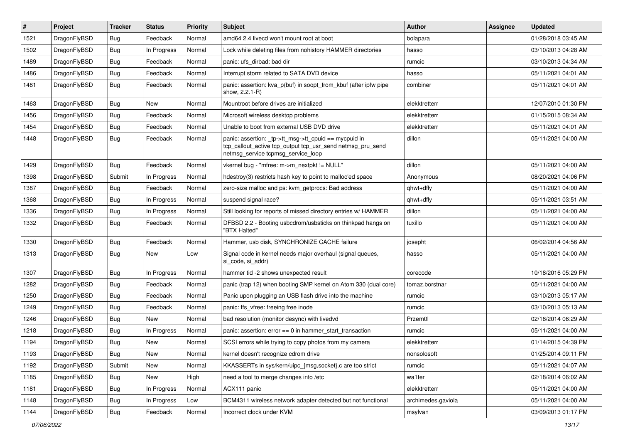| $\#$ | Project      | <b>Tracker</b> | <b>Status</b> | <b>Priority</b> | <b>Subject</b>                                                                                                                                            | <b>Author</b>      | Assignee | <b>Updated</b>      |
|------|--------------|----------------|---------------|-----------------|-----------------------------------------------------------------------------------------------------------------------------------------------------------|--------------------|----------|---------------------|
| 1521 | DragonFlyBSD | <b>Bug</b>     | Feedback      | Normal          | amd64 2.4 livecd won't mount root at boot                                                                                                                 | bolapara           |          | 01/28/2018 03:45 AM |
| 1502 | DragonFlyBSD | <b>Bug</b>     | In Progress   | Normal          | Lock while deleting files from nohistory HAMMER directories                                                                                               | hasso              |          | 03/10/2013 04:28 AM |
| 1489 | DragonFlyBSD | <b>Bug</b>     | Feedback      | Normal          | panic: ufs dirbad: bad dir                                                                                                                                | rumcic             |          | 03/10/2013 04:34 AM |
| 1486 | DragonFlyBSD | Bug            | Feedback      | Normal          | Interrupt storm related to SATA DVD device                                                                                                                | hasso              |          | 05/11/2021 04:01 AM |
| 1481 | DragonFlyBSD | Bug            | Feedback      | Normal          | panic: assertion: kva_p(buf) in soopt_from_kbuf (after ipfw pipe<br>show, 2.2.1-R)                                                                        | combiner           |          | 05/11/2021 04:01 AM |
| 1463 | DragonFlyBSD | Bug            | <b>New</b>    | Normal          | Mountroot before drives are initialized                                                                                                                   | elekktretterr      |          | 12/07/2010 01:30 PM |
| 1456 | DragonFlyBSD | Bug            | Feedback      | Normal          | Microsoft wireless desktop problems                                                                                                                       | elekktretterr      |          | 01/15/2015 08:34 AM |
| 1454 | DragonFlyBSD | Bug            | Feedback      | Normal          | Unable to boot from external USB DVD drive                                                                                                                | elekktretterr      |          | 05/11/2021 04:01 AM |
| 1448 | DragonFlyBSD | Bug            | Feedback      | Normal          | panic: assertion: _tp->tt_msg->tt_cpuid == mycpuid in<br>tcp_callout_active tcp_output tcp_usr_send netmsg_pru_send<br>netmsg_service tcpmsg_service_loop | dillon             |          | 05/11/2021 04:00 AM |
| 1429 | DragonFlyBSD | <b>Bug</b>     | Feedback      | Normal          | vkernel bug - "mfree: m->m_nextpkt != NULL"                                                                                                               | dillon             |          | 05/11/2021 04:00 AM |
| 1398 | DragonFlyBSD | Submit         | In Progress   | Normal          | hdestroy(3) restricts hash key to point to malloc'ed space                                                                                                | Anonymous          |          | 08/20/2021 04:06 PM |
| 1387 | DragonFlyBSD | Bug            | Feedback      | Normal          | zero-size malloc and ps: kvm_getprocs: Bad address                                                                                                        | qhwt+dfly          |          | 05/11/2021 04:00 AM |
| 1368 | DragonFlyBSD | Bug            | In Progress   | Normal          | suspend signal race?                                                                                                                                      | qhwt+dfly          |          | 05/11/2021 03:51 AM |
| 1336 | DragonFlyBSD | Bug            | In Progress   | Normal          | Still looking for reports of missed directory entries w/ HAMMER                                                                                           | dillon             |          | 05/11/2021 04:00 AM |
| 1332 | DragonFlyBSD | <b>Bug</b>     | Feedback      | Normal          | DFBSD 2.2 - Booting usbcdrom/usbsticks on thinkpad hangs on<br>"BTX Halted"                                                                               | tuxillo            |          | 05/11/2021 04:00 AM |
| 1330 | DragonFlyBSD | Bug            | Feedback      | Normal          | Hammer, usb disk, SYNCHRONIZE CACHE failure                                                                                                               | josepht            |          | 06/02/2014 04:56 AM |
| 1313 | DragonFlyBSD | Bug            | New           | Low             | Signal code in kernel needs major overhaul (signal queues,<br>si code, si addr)                                                                           | hasso              |          | 05/11/2021 04:00 AM |
| 1307 | DragonFlyBSD | <b>Bug</b>     | In Progress   | Normal          | hammer tid -2 shows unexpected result                                                                                                                     | corecode           |          | 10/18/2016 05:29 PM |
| 1282 | DragonFlyBSD | Bug            | Feedback      | Normal          | panic (trap 12) when booting SMP kernel on Atom 330 (dual core)                                                                                           | tomaz.borstnar     |          | 05/11/2021 04:00 AM |
| 1250 | DragonFlyBSD | <b>Bug</b>     | Feedback      | Normal          | Panic upon plugging an USB flash drive into the machine                                                                                                   | rumcic             |          | 03/10/2013 05:17 AM |
| 1249 | DragonFlyBSD | <b>Bug</b>     | Feedback      | Normal          | panic: ffs vfree: freeing free inode                                                                                                                      | rumcic             |          | 03/10/2013 05:13 AM |
| 1246 | DragonFlyBSD | Bug            | New           | Normal          | bad resolution (monitor desync) with livedvd                                                                                                              | Przem0l            |          | 02/18/2014 06:29 AM |
| 1218 | DragonFlyBSD | Bug            | In Progress   | Normal          | panic: assertion: error == 0 in hammer_start_transaction                                                                                                  | rumcic             |          | 05/11/2021 04:00 AM |
| 1194 | DragonFlyBSD | Bug            | New           | Normal          | SCSI errors while trying to copy photos from my camera                                                                                                    | elekktretterr      |          | 01/14/2015 04:39 PM |
| 1193 | DragonFlyBSD | <b>Bug</b>     | New           | Normal          | kernel doesn't recognize cdrom drive                                                                                                                      | nonsolosoft        |          | 01/25/2014 09:11 PM |
| 1192 | DragonFlyBSD | Submit         | New           | Normal          | KKASSERTs in sys/kern/uipc_{msg,socket}.c are too strict                                                                                                  | rumcic             |          | 05/11/2021 04:07 AM |
| 1185 | DragonFlyBSD | <b>Bug</b>     | New           | High            | need a tool to merge changes into /etc                                                                                                                    | wa1ter             |          | 02/18/2014 06:02 AM |
| 1181 | DragonFlyBSD | Bug            | In Progress   | Normal          | ACX111 panic                                                                                                                                              | elekktretterr      |          | 05/11/2021 04:00 AM |
| 1148 | DragonFlyBSD | <b>Bug</b>     | In Progress   | Low             | BCM4311 wireless network adapter detected but not functional                                                                                              | archimedes.gaviola |          | 05/11/2021 04:00 AM |
| 1144 | DragonFlyBSD | Bug            | Feedback      | Normal          | Incorrect clock under KVM                                                                                                                                 | msylvan            |          | 03/09/2013 01:17 PM |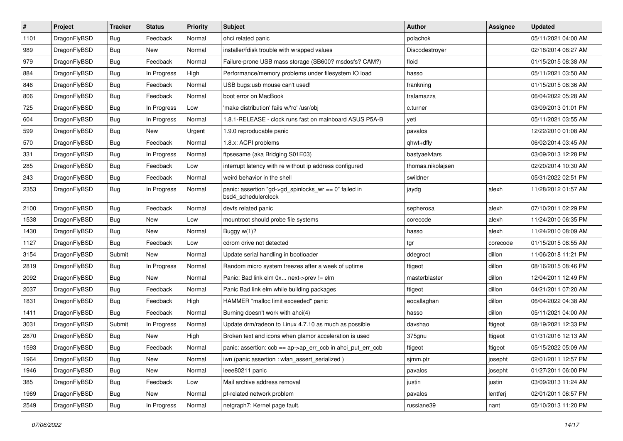| $\pmb{\#}$ | Project      | <b>Tracker</b> | <b>Status</b> | <b>Priority</b> | Subject                                                                      | <b>Author</b>     | <b>Assignee</b> | <b>Updated</b>      |
|------------|--------------|----------------|---------------|-----------------|------------------------------------------------------------------------------|-------------------|-----------------|---------------------|
| 1101       | DragonFlyBSD | Bug            | Feedback      | Normal          | ohci related panic                                                           | polachok          |                 | 05/11/2021 04:00 AM |
| 989        | DragonFlyBSD | Bug            | <b>New</b>    | Normal          | installer/fdisk trouble with wrapped values                                  | Discodestroyer    |                 | 02/18/2014 06:27 AM |
| 979        | DragonFlyBSD | Bug            | Feedback      | Normal          | Failure-prone USB mass storage (SB600? msdosfs? CAM?)                        | floid             |                 | 01/15/2015 08:38 AM |
| 884        | DragonFlyBSD | Bug            | In Progress   | High            | Performance/memory problems under filesystem IO load                         | hasso             |                 | 05/11/2021 03:50 AM |
| 846        | DragonFlyBSD | Bug            | Feedback      | Normal          | USB bugs:usb mouse can't used!                                               | frankning         |                 | 01/15/2015 08:36 AM |
| 806        | DragonFlyBSD | Bug            | Feedback      | Normal          | boot error on MacBook                                                        | tralamazza        |                 | 06/04/2022 05:28 AM |
| 725        | DragonFlyBSD | Bug            | In Progress   | Low             | 'make distribution' fails w/'ro' /usr/obj                                    | c.turner          |                 | 03/09/2013 01:01 PM |
| 604        | DragonFlyBSD | Bug            | In Progress   | Normal          | 1.8.1-RELEASE - clock runs fast on mainboard ASUS P5A-B                      | yeti              |                 | 05/11/2021 03:55 AM |
| 599        | DragonFlyBSD | <b>Bug</b>     | New           | Urgent          | 1.9.0 reproducable panic                                                     | pavalos           |                 | 12/22/2010 01:08 AM |
| 570        | DragonFlyBSD | Bug            | Feedback      | Normal          | 1.8.x: ACPI problems                                                         | qhwt+dfly         |                 | 06/02/2014 03:45 AM |
| 331        | DragonFlyBSD | Bug            | In Progress   | Normal          | ftpsesame (aka Bridging S01E03)                                              | bastyaelvtars     |                 | 03/09/2013 12:28 PM |
| 285        | DragonFlyBSD | Bug            | Feedback      | Low             | interrupt latency with re without ip address configured                      | thomas.nikolajsen |                 | 02/20/2014 10:30 AM |
| 243        | DragonFlyBSD | <b>Bug</b>     | Feedback      | Normal          | weird behavior in the shell                                                  | swildner          |                 | 05/31/2022 02:51 PM |
| 2353       | DragonFlyBSD | <b>Bug</b>     | In Progress   | Normal          | panic: assertion "gd->gd_spinlocks_wr == 0" failed in<br>bsd4 schedulerclock | jaydg             | alexh           | 11/28/2012 01:57 AM |
| 2100       | DragonFlyBSD | Bug            | Feedback      | Normal          | devfs related panic                                                          | sepherosa         | alexh           | 07/10/2011 02:29 PM |
| 1538       | DragonFlyBSD | Bug            | New           | Low             | mountroot should probe file systems                                          | corecode          | alexh           | 11/24/2010 06:35 PM |
| 1430       | DragonFlyBSD | Bug            | <b>New</b>    | Normal          | Buggy $w(1)$ ?                                                               | hasso             | alexh           | 11/24/2010 08:09 AM |
| 1127       | DragonFlyBSD | Bug            | Feedback      | Low             | cdrom drive not detected                                                     | tgr               | corecode        | 01/15/2015 08:55 AM |
| 3154       | DragonFlyBSD | Submit         | <b>New</b>    | Normal          | Update serial handling in bootloader                                         | ddegroot          | dillon          | 11/06/2018 11:21 PM |
| 2819       | DragonFlyBSD | Bug            | In Progress   | Normal          | Random micro system freezes after a week of uptime                           | ftigeot           | dillon          | 08/16/2015 08:46 PM |
| 2092       | DragonFlyBSD | <b>Bug</b>     | New           | Normal          | Panic: Bad link elm 0x next->prev != elm                                     | masterblaster     | dillon          | 12/04/2011 12:49 PM |
| 2037       | DragonFlyBSD | Bug            | Feedback      | Normal          | Panic Bad link elm while building packages                                   | ftigeot           | dillon          | 04/21/2011 07:20 AM |
| 1831       | DragonFlyBSD | <b>Bug</b>     | Feedback      | High            | HAMMER "malloc limit exceeded" panic                                         | eocallaghan       | dillon          | 06/04/2022 04:38 AM |
| 1411       | DragonFlyBSD | Bug            | Feedback      | Normal          | Burning doesn't work with ahci(4)                                            | hasso             | dillon          | 05/11/2021 04:00 AM |
| 3031       | DragonFlyBSD | Submit         | In Progress   | Normal          | Update drm/radeon to Linux 4.7.10 as much as possible                        | davshao           | ftigeot         | 08/19/2021 12:33 PM |
| 2870       | DragonFlyBSD | <b>Bug</b>     | <b>New</b>    | High            | Broken text and icons when glamor acceleration is used                       | 375gnu            | ftigeot         | 01/31/2016 12:13 AM |
| 1593       | DragonFlyBSD | Bug            | Feedback      | Normal          | panic: assertion: ccb == ap->ap_err_ccb in ahci_put_err_ccb                  | ftigeot           | ftigeot         | 05/15/2022 05:09 AM |
| 1964       | DragonFlyBSD | <b>Bug</b>     | <b>New</b>    | Normal          | iwn (panic assertion : wlan assert serialized)                               | sjmm.ptr          | josepht         | 02/01/2011 12:57 PM |
| 1946       | DragonFlyBSD | <b>Bug</b>     | New           | Normal          | ieee80211 panic                                                              | pavalos           | josepht         | 01/27/2011 06:00 PM |
| 385        | DragonFlyBSD | <b>Bug</b>     | Feedback      | Low             | Mail archive address removal                                                 | justin            | justin          | 03/09/2013 11:24 AM |
| 1969       | DragonFlyBSD | Bug            | New           | Normal          | pf-related network problem                                                   | pavalos           | lentferj        | 02/01/2011 06:57 PM |
| 2549       | DragonFlyBSD | <b>Bug</b>     | In Progress   | Normal          | netgraph7: Kernel page fault.                                                | russiane39        | nant            | 05/10/2013 11:20 PM |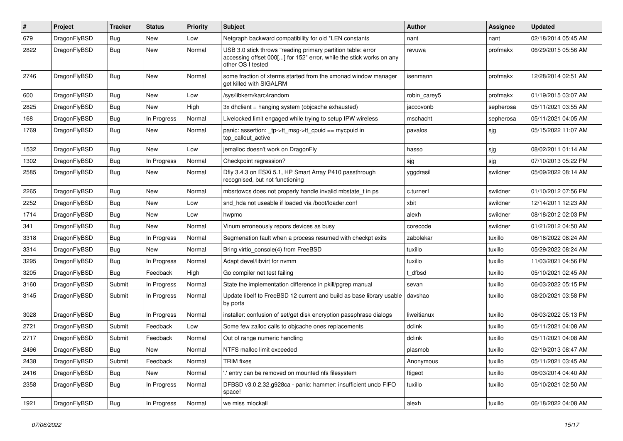| #    | Project      | <b>Tracker</b> | <b>Status</b> | <b>Priority</b> | Subject                                                                                                                                                  | <b>Author</b> | Assignee  | <b>Updated</b>      |
|------|--------------|----------------|---------------|-----------------|----------------------------------------------------------------------------------------------------------------------------------------------------------|---------------|-----------|---------------------|
| 679  | DragonFlyBSD | <b>Bug</b>     | New           | Low             | Netgraph backward compatibility for old *LEN constants                                                                                                   | nant          | nant      | 02/18/2014 05:45 AM |
| 2822 | DragonFlyBSD | <b>Bug</b>     | New           | Normal          | USB 3.0 stick throws "reading primary partition table: error<br>accessing offset 000[] for 152" error, while the stick works on any<br>other OS I tested | revuwa        | profmakx  | 06/29/2015 05:56 AM |
| 2746 | DragonFlyBSD | Bug            | New           | Normal          | some fraction of xterms started from the xmonad window manager<br>get killed with SIGALRM                                                                | isenmann      | profmakx  | 12/28/2014 02:51 AM |
| 600  | DragonFlyBSD | <b>Bug</b>     | New           | Low             | /sys/libkern/karc4random                                                                                                                                 | robin_carey5  | profmakx  | 01/19/2015 03:07 AM |
| 2825 | DragonFlyBSD | <b>Bug</b>     | New           | High            | 3x dhclient = hanging system (objcache exhausted)                                                                                                        | jaccovonb     | sepherosa | 05/11/2021 03:55 AM |
| 168  | DragonFlyBSD | <b>Bug</b>     | In Progress   | Normal          | Livelocked limit engaged while trying to setup IPW wireless                                                                                              | mschacht      | sepherosa | 05/11/2021 04:05 AM |
| 1769 | DragonFlyBSD | <b>Bug</b>     | New           | Normal          | panic: assertion: _tp->tt_msg->tt_cpuid == mycpuid in<br>tcp callout active                                                                              | pavalos       | sjg       | 05/15/2022 11:07 AM |
| 1532 | DragonFlyBSD | Bug            | New           | Low             | jemalloc doesn't work on DragonFly                                                                                                                       | hasso         | sjg       | 08/02/2011 01:14 AM |
| 1302 | DragonFlyBSD | Bug            | In Progress   | Normal          | Checkpoint regression?                                                                                                                                   | sjg           | sjg       | 07/10/2013 05:22 PM |
| 2585 | DragonFlyBSD | <b>Bug</b>     | New           | Normal          | Dfly 3.4.3 on ESXi 5.1, HP Smart Array P410 passthrough<br>recognised, but not functioning                                                               | yggdrasil     | swildner  | 05/09/2022 08:14 AM |
| 2265 | DragonFlyBSD | Bug            | New           | Normal          | mbsrtowcs does not properly handle invalid mbstate_t in ps                                                                                               | c.turner1     | swildner  | 01/10/2012 07:56 PM |
| 2252 | DragonFlyBSD | Bug            | <b>New</b>    | Low             | snd_hda not useable if loaded via /boot/loader.conf                                                                                                      | xbit          | swildner  | 12/14/2011 12:23 AM |
| 1714 | DragonFlyBSD | Bug            | New           | Low             | hwpmc                                                                                                                                                    | alexh         | swildner  | 08/18/2012 02:03 PM |
| 341  | DragonFlyBSD | Bug            | <b>New</b>    | Normal          | Vinum erroneously repors devices as busy                                                                                                                 | corecode      | swildner  | 01/21/2012 04:50 AM |
| 3318 | DragonFlyBSD | <b>Bug</b>     | In Progress   | Normal          | Segmenation fault when a process resumed with checkpt exits                                                                                              | zabolekar     | tuxillo   | 06/18/2022 08:24 AM |
| 3314 | DragonFlyBSD | Bug            | New           | Normal          | Bring virtio_console(4) from FreeBSD                                                                                                                     | tuxillo       | tuxillo   | 05/29/2022 08:24 AM |
| 3295 | DragonFlyBSD | Bug            | In Progress   | Normal          | Adapt devel/libvirt for nvmm                                                                                                                             | tuxillo       | tuxillo   | 11/03/2021 04:56 PM |
| 3205 | DragonFlyBSD | Bug            | Feedback      | High            | Go compiler net test failing                                                                                                                             | t dfbsd       | tuxillo   | 05/10/2021 02:45 AM |
| 3160 | DragonFlyBSD | Submit         | In Progress   | Normal          | State the implementation difference in pkill/pgrep manual                                                                                                | sevan         | tuxillo   | 06/03/2022 05:15 PM |
| 3145 | DragonFlyBSD | Submit         | In Progress   | Normal          | Update libelf to FreeBSD 12 current and build as base library usable<br>by ports                                                                         | davshao       | tuxillo   | 08/20/2021 03:58 PM |
| 3028 | DragonFlyBSD | Bug            | In Progress   | Normal          | installer: confusion of set/get disk encryption passphrase dialogs                                                                                       | liweitianux   | tuxillo   | 06/03/2022 05:13 PM |
| 2721 | DragonFlyBSD | Submit         | Feedback      | Low             | Some few zalloc calls to objcache ones replacements                                                                                                      | dclink        | tuxillo   | 05/11/2021 04:08 AM |
| 2717 | DragonFlyBSD | Submit         | Feedback      | Normal          | Out of range numeric handling                                                                                                                            | dclink        | tuxillo   | 05/11/2021 04:08 AM |
| 2496 | DragonFlyBSD | Bug            | <b>New</b>    | Normal          | NTFS malloc limit exceeded                                                                                                                               | plasmob       | tuxillo   | 02/19/2013 08:47 AM |
| 2438 | DragonFlyBSD | Submit         | Feedback      | Normal          | <b>TRIM</b> fixes                                                                                                                                        | Anonymous     | tuxillo   | 05/11/2021 03:45 AM |
| 2416 | DragonFlyBSD | <b>Bug</b>     | New           | Normal          | ".' entry can be removed on mounted nfs filesystem                                                                                                       | ftigeot       | tuxillo   | 06/03/2014 04:40 AM |
| 2358 | DragonFlyBSD | <b>Bug</b>     | In Progress   | Normal          | DFBSD v3.0.2.32.g928ca - panic: hammer: insufficient undo FIFO<br>space!                                                                                 | tuxillo       | tuxillo   | 05/10/2021 02:50 AM |
| 1921 | DragonFlyBSD | <b>Bug</b>     | In Progress   | Normal          | we miss mlockall                                                                                                                                         | alexh         | tuxillo   | 06/18/2022 04:08 AM |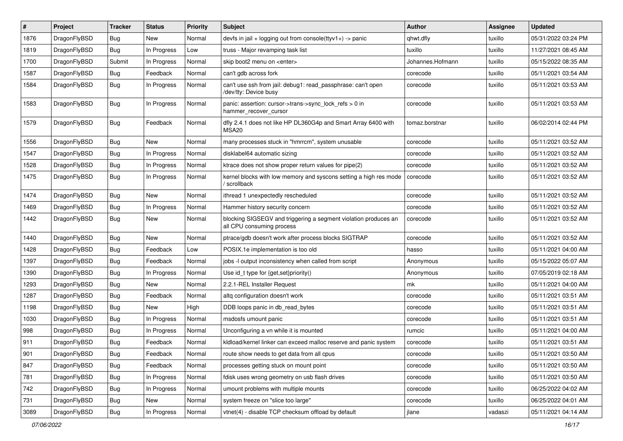| #    | Project      | <b>Tracker</b> | <b>Status</b> | <b>Priority</b> | Subject                                                                                      | <b>Author</b>    | <b>Assignee</b> | <b>Updated</b>      |
|------|--------------|----------------|---------------|-----------------|----------------------------------------------------------------------------------------------|------------------|-----------------|---------------------|
| 1876 | DragonFlyBSD | Bug            | New           | Normal          | devfs in $ ail + logging$ out from console(ttyv1+) -> panic                                  | qhwt.dfly        | tuxillo         | 05/31/2022 03:24 PM |
| 1819 | DragonFlyBSD | Bug            | In Progress   | Low             | truss - Major revamping task list                                                            | tuxillo          | tuxillo         | 11/27/2021 08:45 AM |
| 1700 | DragonFlyBSD | Submit         | In Progress   | Normal          | skip boot2 menu on <enter></enter>                                                           | Johannes.Hofmann | tuxillo         | 05/15/2022 08:35 AM |
| 1587 | DragonFlyBSD | <b>Bug</b>     | Feedback      | Normal          | can't gdb across fork                                                                        | corecode         | tuxillo         | 05/11/2021 03:54 AM |
| 1584 | DragonFlyBSD | Bug            | In Progress   | Normal          | can't use ssh from jail: debug1: read passphrase: can't open<br>/dev/tty: Device busy        | corecode         | tuxillo         | 05/11/2021 03:53 AM |
| 1583 | DragonFlyBSD | Bug            | In Progress   | Normal          | panic: assertion: cursor->trans->sync_lock_refs > 0 in<br>hammer_recover_cursor              | corecode         | tuxillo         | 05/11/2021 03:53 AM |
| 1579 | DragonFlyBSD | <b>Bug</b>     | Feedback      | Normal          | dfly 2.4.1 does not like HP DL360G4p and Smart Array 6400 with<br>MSA20                      | tomaz.borstnar   | tuxillo         | 06/02/2014 02:44 PM |
| 1556 | DragonFlyBSD | <b>Bug</b>     | <b>New</b>    | Normal          | many processes stuck in "hmrrcm", system unusable                                            | corecode         | tuxillo         | 05/11/2021 03:52 AM |
| 1547 | DragonFlyBSD | <b>Bug</b>     | In Progress   | Normal          | disklabel64 automatic sizing                                                                 | corecode         | tuxillo         | 05/11/2021 03:52 AM |
| 1528 | DragonFlyBSD | <b>Bug</b>     | In Progress   | Normal          | ktrace does not show proper return values for pipe(2)                                        | corecode         | tuxillo         | 05/11/2021 03:52 AM |
| 1475 | DragonFlyBSD | <b>Bug</b>     | In Progress   | Normal          | kernel blocks with low memory and syscons setting a high res mode<br>/ scrollback            | corecode         | tuxillo         | 05/11/2021 03:52 AM |
| 1474 | DragonFlyBSD | Bug            | <b>New</b>    | Normal          | ithread 1 unexpectedly rescheduled                                                           | corecode         | tuxillo         | 05/11/2021 03:52 AM |
| 1469 | DragonFlyBSD | <b>Bug</b>     | In Progress   | Normal          | Hammer history security concern                                                              | corecode         | tuxillo         | 05/11/2021 03:52 AM |
| 1442 | DragonFlyBSD | <b>Bug</b>     | <b>New</b>    | Normal          | blocking SIGSEGV and triggering a segment violation produces an<br>all CPU consuming process | corecode         | tuxillo         | 05/11/2021 03:52 AM |
| 1440 | DragonFlyBSD | <b>Bug</b>     | <b>New</b>    | Normal          | ptrace/gdb doesn't work after process blocks SIGTRAP                                         | corecode         | tuxillo         | 05/11/2021 03:52 AM |
| 1428 | DragonFlyBSD | <b>Bug</b>     | Feedback      | Low             | POSIX.1e implementation is too old                                                           | hasso            | tuxillo         | 05/11/2021 04:00 AM |
| 1397 | DragonFlyBSD | <b>Bug</b>     | Feedback      | Normal          | jobs -I output inconsistency when called from script                                         | Anonymous        | tuxillo         | 05/15/2022 05:07 AM |
| 1390 | DragonFlyBSD | <b>Bug</b>     | In Progress   | Normal          | Use id_t type for $\{get, set\}$ priority $()$                                               | Anonymous        | tuxillo         | 07/05/2019 02:18 AM |
| 1293 | DragonFlyBSD | <b>Bug</b>     | <b>New</b>    | Normal          | 2.2.1-REL Installer Request                                                                  | mk               | tuxillo         | 05/11/2021 04:00 AM |
| 1287 | DragonFlyBSD | <b>Bug</b>     | Feedback      | Normal          | altq configuration doesn't work                                                              | corecode         | tuxillo         | 05/11/2021 03:51 AM |
| 1198 | DragonFlyBSD | <b>Bug</b>     | <b>New</b>    | High            | DDB loops panic in db read bytes                                                             | corecode         | tuxillo         | 05/11/2021 03:51 AM |
| 1030 | DragonFlyBSD | <b>Bug</b>     | In Progress   | Normal          | msdosfs umount panic                                                                         | corecode         | tuxillo         | 05/11/2021 03:51 AM |
| 998  | DragonFlyBSD | <b>Bug</b>     | In Progress   | Normal          | Unconfiguring a vn while it is mounted                                                       | rumcic           | tuxillo         | 05/11/2021 04:00 AM |
| 911  | DragonFlyBSD | Bug            | Feedback      | Normal          | kldload/kernel linker can exceed malloc reserve and panic system                             | corecode         | tuxillo         | 05/11/2021 03:51 AM |
| 901  | DragonFlyBSD | Bug            | Feedback      | Normal          | route show needs to get data from all cpus                                                   | corecode         | tuxillo         | 05/11/2021 03:50 AM |
| 847  | DragonFlyBSD | <b>Bug</b>     | Feedback      | Normal          | processes getting stuck on mount point                                                       | corecode         | tuxillo         | 05/11/2021 03:50 AM |
| 781  | DragonFlyBSD | <b>Bug</b>     | In Progress   | Normal          | fdisk uses wrong geometry on usb flash drives                                                | corecode         | tuxillo         | 05/11/2021 03:50 AM |
| 742  | DragonFlyBSD | <b>Bug</b>     | In Progress   | Normal          | umount problems with multiple mounts                                                         | corecode         | tuxillo         | 06/25/2022 04:02 AM |
| 731  | DragonFlyBSD | <b>Bug</b>     | New           | Normal          | system freeze on "slice too large"                                                           | corecode         | tuxillo         | 06/25/2022 04:01 AM |
| 3089 | DragonFlyBSD | Bug            | In Progress   | Normal          | vtnet(4) - disable TCP checksum offload by default                                           | jlane            | vadaszi         | 05/11/2021 04:14 AM |